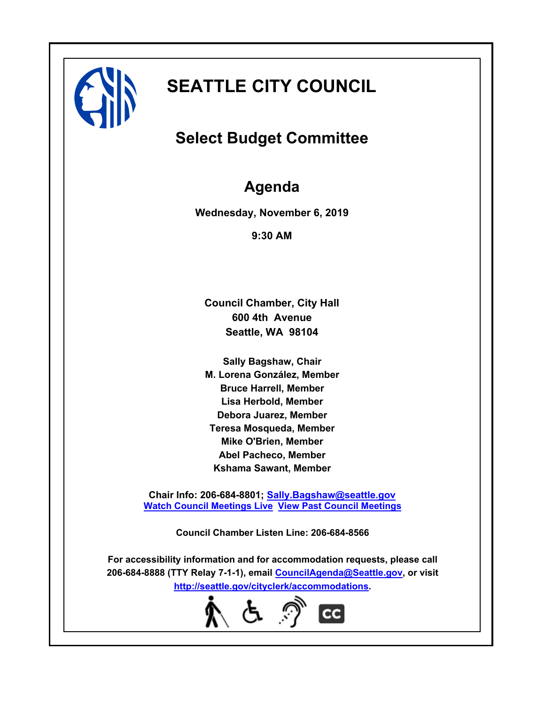

# **SEATTLE CITY COUNCIL**

# **Select Budget Committee**

# **Agenda**

**Wednesday, November 6, 2019**

**9:30 AM**

**Council Chamber, City Hall 600 4th Avenue Seattle, WA 98104**

**Sally Bagshaw, Chair M. Lorena González, Member Bruce Harrell, Member Lisa Herbold, Member Debora Juarez, Member Teresa Mosqueda, Member Mike O'Brien, Member Abel Pacheco, Member Kshama Sawant, Member**

**Chair Info: 206-684-8801; [Sally.Bagshaw@seattle.gov](mailto:Sally.Bagshaw@seattle.gov) [Watch Council Meetings Live](http://www.seattle.gov/council/councillive.htm) [View Past Council Meetings](http://www.seattlechannel.org/videos/browseVideos.asp?topic=council)**

**Council Chamber Listen Line: 206-684-8566**

**For accessibility information and for accommodation requests, please call 206-684-8888 (TTY Relay 7-1-1), email [CouncilAgenda@Seattle.gov](mailto: Council.Agenda@seattle.gov), or visit <http://seattle.gov/cityclerk/accommodations>.**

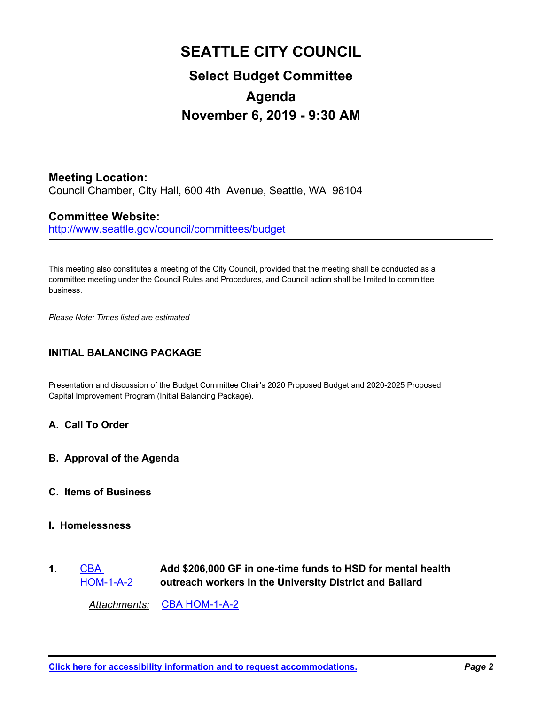# **SEATTLE CITY COUNCIL Select Budget Committee Agenda November 6, 2019 - 9:30 AM**

**Meeting Location:** Council Chamber, City Hall, 600 4th Avenue, Seattle, WA 98104

# **Committee Website:**

http://www.seattle.gov/council/committees/budget

This meeting also constitutes a meeting of the City Council, provided that the meeting shall be conducted as a committee meeting under the Council Rules and Procedures, and Council action shall be limited to committee business.

*Please Note: Times listed are estimated*

## **INITIAL BALANCING PACKAGE**

Presentation and discussion of the Budget Committee Chair's 2020 Proposed Budget and 2020-2025 Proposed Capital Improvement Program (Initial Balancing Package).

### **A. Call To Order**

**B. Approval of the Agenda**

### **C. Items of Business**

## **I. Homelessness**

**Add \$206,000 GF in one-time funds to HSD for mental health outreach workers in the University District and Ballard CBA** [HOM-1-A-2](http://seattle.legistar.com/gateway.aspx?m=l&id=/matter.aspx?key=9534) **1.**

*Attachments:* [CBA HOM-1-A-2](http://seattle.legistar.com/gateway.aspx?M=F&ID=f839d946-2721-40c3-a2e2-f96a91bb3ad4.docx)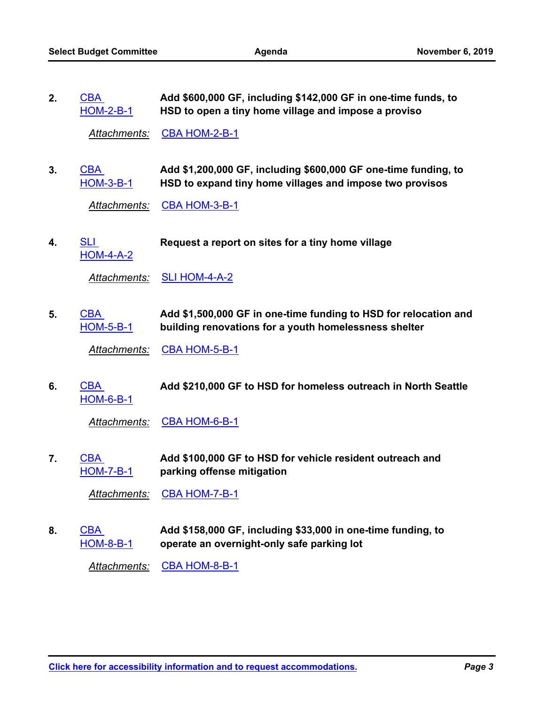**Add \$600,000 GF, including \$142,000 GF in one-time funds, to HSD to open a tiny home village and impose a proviso** CBA [HOM-2-B-1](http://seattle.legistar.com/gateway.aspx?m=l&id=/matter.aspx?key=9535) **2.**

*Attachments:* [CBA HOM-2-B-1](http://seattle.legistar.com/gateway.aspx?M=F&ID=aea3aa89-7349-47ef-a9fb-cbf0ace3a329.docx)

**Add \$1,200,000 GF, including \$600,000 GF one-time funding, to HSD to expand tiny home villages and impose two provisos** CBA [HOM-3-B-1](http://seattle.legistar.com/gateway.aspx?m=l&id=/matter.aspx?key=9536) **3.**

Attachments: [CBA HOM-3-B-1](http://seattle.legistar.com/gateway.aspx?M=F&ID=b52b213d-1be1-42ab-9154-de50d72c0311.docx)

SLI **Request a report on sites for a tiny home village** [HOM-4-A-2](http://seattle.legistar.com/gateway.aspx?m=l&id=/matter.aspx?key=9639) **4.**

*Attachments:* [SLI HOM-4-A-2](http://seattle.legistar.com/gateway.aspx?M=F&ID=0ba1dbe6-3ea7-4fad-9f45-313ed9fbe799.docx)

**Add \$1,500,000 GF in one-time funding to HSD for relocation and building renovations for a youth homelessness shelter** CBA [HOM-5-B-1](http://seattle.legistar.com/gateway.aspx?m=l&id=/matter.aspx?key=9537) **5.**

*Attachments:* [CBA HOM-5-B-1](http://seattle.legistar.com/gateway.aspx?M=F&ID=8372b08e-06de-4851-919e-8ea4bd0121e1.docx)

CBA **Add \$210,000 GF to HSD for homeless outreach in North Seattle** [HOM-6-B-1](http://seattle.legistar.com/gateway.aspx?m=l&id=/matter.aspx?key=9538) **6.**

Attachments: [CBA HOM-6-B-1](http://seattle.legistar.com/gateway.aspx?M=F&ID=ad14c7d6-7b9b-4237-9920-e2ee32781f14.docx)

**Add \$100,000 GF to HSD for vehicle resident outreach and parking offense mitigation CBA** [HOM-7-B-1](http://seattle.legistar.com/gateway.aspx?m=l&id=/matter.aspx?key=9539) **7.**

*Attachments:* [CBA HOM-7-B-1](http://seattle.legistar.com/gateway.aspx?M=F&ID=f40f6083-53ae-484b-bc8a-99e41dfaba4d.docx)

**Add \$158,000 GF, including \$33,000 in one-time funding, to operate an overnight-only safe parking lot** CBA [HOM-8-B-1](http://seattle.legistar.com/gateway.aspx?m=l&id=/matter.aspx?key=9540) **8.**

*Attachments:* [CBA HOM-8-B-1](http://seattle.legistar.com/gateway.aspx?M=F&ID=acf0d3c1-bfbb-4ee9-9f31-b8d536afb202.docx)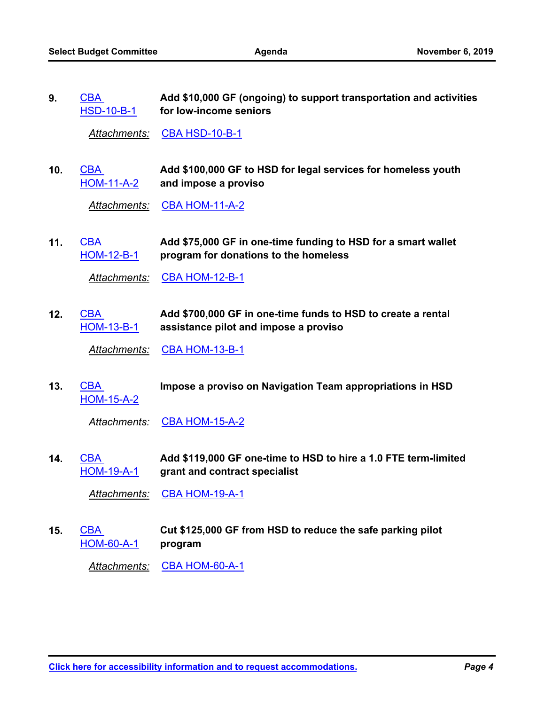**Add \$10,000 GF (ongoing) to support transportation and activities for low-income seniors CBA** [HSD-10-B-1](http://seattle.legistar.com/gateway.aspx?m=l&id=/matter.aspx?key=9554) **9.**

*Attachments:* [CBA HSD-10-B-1](http://seattle.legistar.com/gateway.aspx?M=F&ID=7d6f4896-8679-42ca-a39d-9ee1d7613dd7.docx)

**Add \$100,000 GF to HSD for legal services for homeless youth and impose a proviso** CBA [HOM-11-A-2](http://seattle.legistar.com/gateway.aspx?m=l&id=/matter.aspx?key=9543) **10.**

*Attachments:* [CBA HOM-11-A-2](http://seattle.legistar.com/gateway.aspx?M=F&ID=1367eed7-a59e-4eff-a8ec-56b4cdd8880d.docx)

**Add \$75,000 GF in one-time funding to HSD for a smart wallet program for donations to the homeless** CBA [HOM-12-B-1](http://seattle.legistar.com/gateway.aspx?m=l&id=/matter.aspx?key=9544) **11.**

Attachments: [CBA HOM-12-B-1](http://seattle.legistar.com/gateway.aspx?M=F&ID=52d10e50-6dad-4559-8cb2-e24acc3e15e8.docx)

**Add \$700,000 GF in one-time funds to HSD to create a rental assistance pilot and impose a proviso CBA** [HOM-13-B-1](http://seattle.legistar.com/gateway.aspx?m=l&id=/matter.aspx?key=9545) **12.**

*Attachments:* [CBA HOM-13-B-1](http://seattle.legistar.com/gateway.aspx?M=F&ID=a25cd7cf-f7d2-4099-b98c-c8a3e49798df.docx)

CBA **Impose a proviso on Navigation Team appropriations in HSD** [HOM-15-A-2](http://seattle.legistar.com/gateway.aspx?m=l&id=/matter.aspx?key=9546) **13.**

*Attachments:* [CBA HOM-15-A-2](http://seattle.legistar.com/gateway.aspx?M=F&ID=a3718852-e892-4abf-a766-a959f8cd089a.docx)

**Add \$119,000 GF one-time to HSD to hire a 1.0 FTE term-limited grant and contract specialist** CBA [HOM-19-A-1](http://seattle.legistar.com/gateway.aspx?m=l&id=/matter.aspx?key=9548) **14.**

*Attachments:* [CBA HOM-19-A-1](http://seattle.legistar.com/gateway.aspx?M=F&ID=0f8cb6d8-4273-41a8-b2b4-892a905f92e1.docx)

**Cut \$125,000 GF from HSD to reduce the safe parking pilot program CBA** [HOM-60-A-1](http://seattle.legistar.com/gateway.aspx?m=l&id=/matter.aspx?key=9550) **15.**

*Attachments:* [CBA HOM-60-A-1](http://seattle.legistar.com/gateway.aspx?M=F&ID=d2234c94-71a0-4e88-91b2-8f9324813225.docx)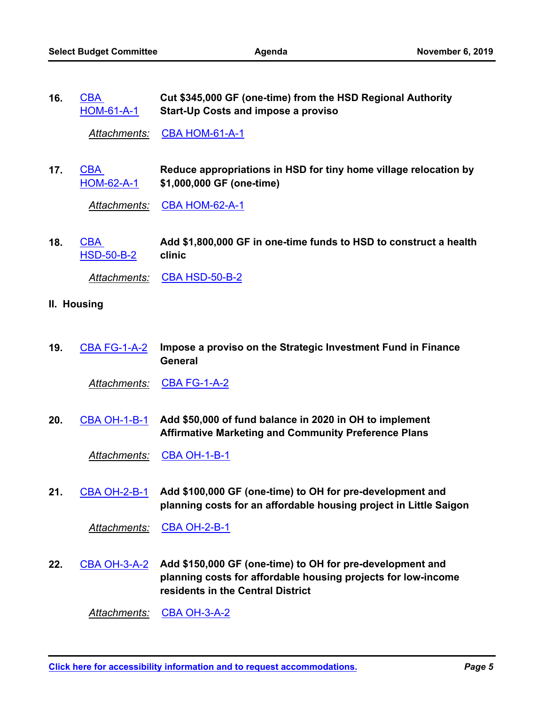**Cut \$345,000 GF (one-time) from the HSD Regional Authority Start-Up Costs and impose a proviso CBA** [HOM-61-A-1](http://seattle.legistar.com/gateway.aspx?m=l&id=/matter.aspx?key=9551) **16.**

*Attachments:* [CBA HOM-61-A-1](http://seattle.legistar.com/gateway.aspx?M=F&ID=68dc4608-e50c-4419-b05d-ad5080321a5b.docx)

**Reduce appropriations in HSD for tiny home village relocation by \$1,000,000 GF (one-time)** CBA [HOM-62-A-1](http://seattle.legistar.com/gateway.aspx?m=l&id=/matter.aspx?key=9552) **17.**

*Attachments:* [CBA HOM-62-A-1](http://seattle.legistar.com/gateway.aspx?M=F&ID=6fa0ae91-9c39-4e0c-9828-5c01e0818320.docx)

**Add \$1,800,000 GF in one-time funds to HSD to construct a health clinic** CBA [HSD-50-B-2](http://seattle.legistar.com/gateway.aspx?m=l&id=/matter.aspx?key=9556) **18.**

Attachments: [CBA HSD-50-B-2](http://seattle.legistar.com/gateway.aspx?M=F&ID=32836d0a-3873-4b72-a354-aeeae0f1735f.docx)

- **II. Housing**
- **Impose a proviso on the Strategic Investment Fund in Finance General 19.** [CBA FG-1-A-2](http://seattle.legistar.com/gateway.aspx?m=l&id=/matter.aspx?key=9533)

*Attachments:* [CBA FG-1-A-2](http://seattle.legistar.com/gateway.aspx?M=F&ID=9ee00ee3-f902-477c-a528-f1761a49e687.docx)

**Add \$50,000 of fund balance in 2020 in OH to implement Affirmative Marketing and Community Preference Plans 20.** [CBA OH-1-B-1](http://seattle.legistar.com/gateway.aspx?m=l&id=/matter.aspx?key=9577)

*Attachments:* [CBA OH-1-B-1](http://seattle.legistar.com/gateway.aspx?M=F&ID=3dcf8f2e-91db-4d22-a1c2-7bc5e2c0b899.docx)

**Add \$100,000 GF (one-time) to OH for pre-development and planning costs for an affordable housing project in Little Saigon 21.** [CBA OH-2-B-1](http://seattle.legistar.com/gateway.aspx?m=l&id=/matter.aspx?key=9578)

*Attachments:* [CBA OH-2-B-1](http://seattle.legistar.com/gateway.aspx?M=F&ID=f8a7c492-6e22-4460-a188-4d14d30a47c6.docx)

22. [CBA OH-3-A-2](http://seattle.legistar.com/gateway.aspx?m=l&id=/matter.aspx?key=9579) Add \$150,000 GF (one-time) to OH for pre-development and **planning costs for affordable housing projects for low-income residents in the Central District**

*Attachments:* [CBA OH-3-A-2](http://seattle.legistar.com/gateway.aspx?M=F&ID=db102dc4-1b04-44c0-bdff-287930b086fe.docx)

**[Click here for accessibility information and to request accommodations.](http://seattle.gov/cityclerk/accommodations)** *Page 5*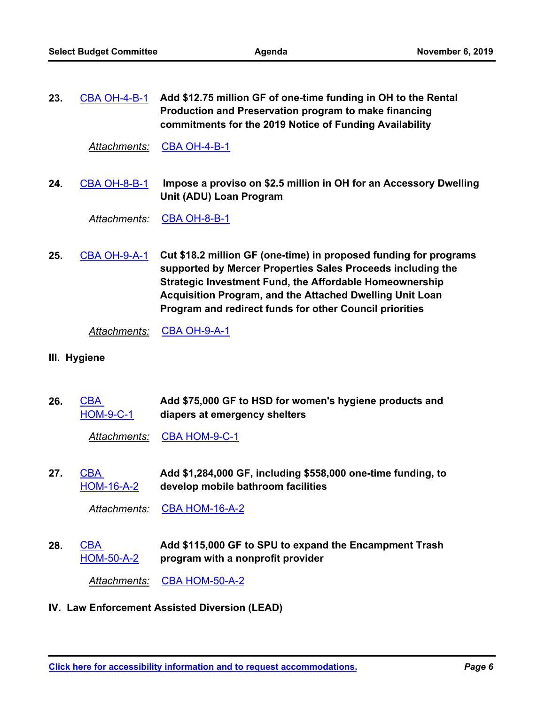| 23. | CBA OH-4-B-1 Add \$12.75 million GF of one-time funding in OH to the Rental |
|-----|-----------------------------------------------------------------------------|
|     | Production and Preservation program to make financing                       |
|     | commitments for the 2019 Notice of Funding Availability                     |

*Attachments:* [CBA OH-4-B-1](http://seattle.legistar.com/gateway.aspx?M=F&ID=bd68c8f6-eb2c-4ced-9c29-f47441e0df40.docx)

 **Impose a proviso on \$2.5 million in OH for an Accessory Dwelling Unit (ADU) Loan Program 24.** [CBA OH-8-B-1](http://seattle.legistar.com/gateway.aspx?m=l&id=/matter.aspx?key=9581)

*Attachments:* [CBA OH-8-B-1](http://seattle.legistar.com/gateway.aspx?M=F&ID=1bd18bd7-41aa-47ec-8814-88498a0c2426.docx)

**Cut \$18.2 million GF (one-time) in proposed funding for programs supported by Mercer Properties Sales Proceeds including the Strategic Investment Fund, the Affordable Homeownership Acquisition Program, and the Attached Dwelling Unit Loan Program and redirect funds for other Council priorities 25.** [CBA OH-9-A-1](http://seattle.legistar.com/gateway.aspx?m=l&id=/matter.aspx?key=9582)

*Attachments:* [CBA OH-9-A-1](http://seattle.legistar.com/gateway.aspx?M=F&ID=158f28bd-e605-48ff-b056-1eadb88be544.docx)

- **III. Hygiene**
- **Add \$75,000 GF to HSD for women's hygiene products and diapers at emergency shelters CBA** [HOM-9-C-1](http://seattle.legistar.com/gateway.aspx?m=l&id=/matter.aspx?key=9541) **26.**

*Attachments:* [CBA HOM-9-C-1](http://seattle.legistar.com/gateway.aspx?M=F&ID=3aae94c4-c329-4c00-b109-156e0e001031.docx)

**Add \$1,284,000 GF, including \$558,000 one-time funding, to develop mobile bathroom facilities** CBA [HOM-16-A-2](http://seattle.legistar.com/gateway.aspx?m=l&id=/matter.aspx?key=9547) **27.**

*Attachments:* [CBA HOM-16-A-2](http://seattle.legistar.com/gateway.aspx?M=F&ID=0d7d2b87-0544-4b74-b84b-fa4f97129952.docx)

**Add \$115,000 GF to SPU to expand the Encampment Trash program with a nonprofit provider CBA** [HOM-50-A-2](http://seattle.legistar.com/gateway.aspx?m=l&id=/matter.aspx?key=9549) **28.**

*Attachments:* [CBA HOM-50-A-2](http://seattle.legistar.com/gateway.aspx?M=F&ID=70dffd68-c3b1-4801-aeaa-c55e1c49c263.docx)

### **IV. Law Enforcement Assisted Diversion (LEAD)**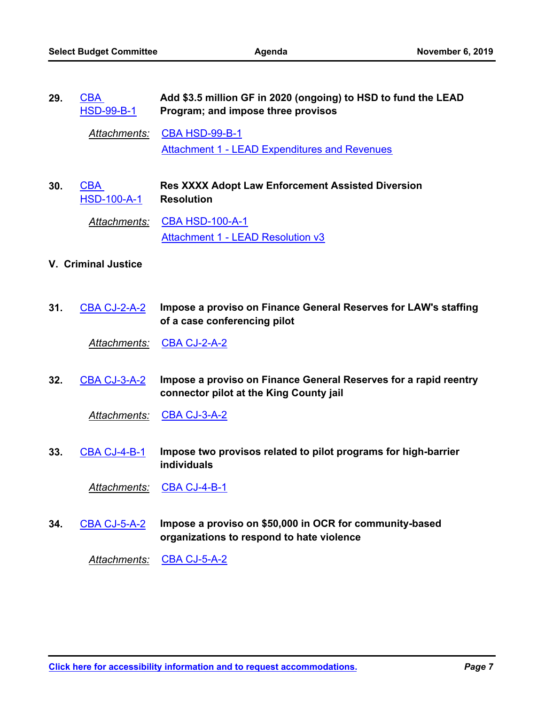| 29. | CBA<br><b>HSD-99-B-1</b>         | Add \$3.5 million GF in 2020 (ongoing) to HSD to fund the LEAD<br>Program; and impose three provisos |
|-----|----------------------------------|------------------------------------------------------------------------------------------------------|
|     | Attachments:                     | <b>CBA HSD-99-B-1</b><br><b>Attachment 1 - LEAD Expenditures and Revenues</b>                        |
| 30. | <b>CBA</b><br><b>HSD-100-A-1</b> | <b>Res XXXX Adopt Law Enforcement Assisted Diversion</b><br><b>Resolution</b>                        |
|     | Attachments:                     | <b>CBA HSD-100-A-1</b><br><b>Attachment 1 - LEAD Resolution v3</b>                                   |
|     | <b>V. Criminal Justice</b>       |                                                                                                      |

**Impose a proviso on Finance General Reserves for LAW's staffing of a case conferencing pilot 31.** [CBA CJ-2-A-2](http://seattle.legistar.com/gateway.aspx?m=l&id=/matter.aspx?key=9518)

*Attachments:* [CBA CJ-2-A-2](http://seattle.legistar.com/gateway.aspx?M=F&ID=635f33c0-2ded-4578-8e68-21d3b93fdfc4.docx)

**Impose a proviso on Finance General Reserves for a rapid reentry connector pilot at the King County jail 32.** [CBA CJ-3-A-2](http://seattle.legistar.com/gateway.aspx?m=l&id=/matter.aspx?key=9519)

*Attachments:* [CBA CJ-3-A-2](http://seattle.legistar.com/gateway.aspx?M=F&ID=c9dba7ac-f485-4eb4-bd1c-a634eeafa4c4.docx)

**Impose two provisos related to pilot programs for high-barrier individuals 33.** [CBA CJ-4-B-1](http://seattle.legistar.com/gateway.aspx?m=l&id=/matter.aspx?key=9520)

*Attachments:* [CBA CJ-4-B-1](http://seattle.legistar.com/gateway.aspx?M=F&ID=3a35bb2c-7a04-4241-8e8f-515cf95dace2.docx)

**Impose a proviso on \$50,000 in OCR for community-based organizations to respond to hate violence 34.** [CBA CJ-5-A-2](http://seattle.legistar.com/gateway.aspx?m=l&id=/matter.aspx?key=9521)

*Attachments:* [CBA CJ-5-A-2](http://seattle.legistar.com/gateway.aspx?M=F&ID=ebab1ba8-9f0e-44b1-be16-23b387829708.docx)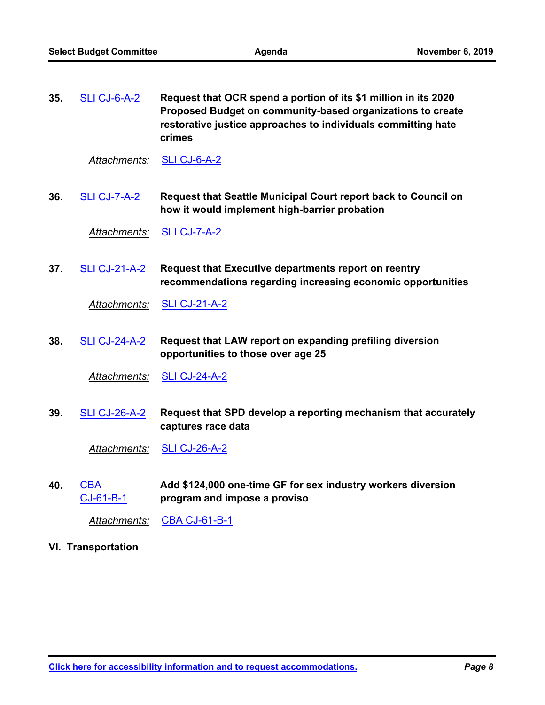| 35. | SLI CJ-6-A-2 | Request that OCR spend a portion of its \$1 million in its 2020 |
|-----|--------------|-----------------------------------------------------------------|
|     |              | Proposed Budget on community-based organizations to create      |
|     |              | restorative justice approaches to individuals committing hate   |
|     |              | crimes                                                          |

*Attachments:* [SLI CJ-6-A-2](http://seattle.legistar.com/gateway.aspx?M=F&ID=e212218f-07be-44d5-8294-2952e0fa92d0.docx)

**Request that Seattle Municipal Court report back to Council on how it would implement high-barrier probation 36.** [SLI CJ-7-A-2](http://seattle.legistar.com/gateway.aspx?m=l&id=/matter.aspx?key=9632)

*Attachments:* [SLI CJ-7-A-2](http://seattle.legistar.com/gateway.aspx?M=F&ID=6b724785-ee1a-48e4-967f-ad46c588ea0c.docx)

**Request that Executive departments report on reentry recommendations regarding increasing economic opportunities 37.** [SLI CJ-21-A-2](http://seattle.legistar.com/gateway.aspx?m=l&id=/matter.aspx?key=9633)

*Attachments:* [SLI CJ-21-A-2](http://seattle.legistar.com/gateway.aspx?M=F&ID=7282e941-491b-4f6f-90bc-d6ec64f03c50.docx)

**Request that LAW report on expanding prefiling diversion opportunities to those over age 25 38.** [SLI CJ-24-A-2](http://seattle.legistar.com/gateway.aspx?m=l&id=/matter.aspx?key=9634)

*Attachments:* [SLI CJ-24-A-2](http://seattle.legistar.com/gateway.aspx?M=F&ID=f848c8d2-99fa-468e-9669-3b8f78e98a0a.docx)

**Request that SPD develop a reporting mechanism that accurately captures race data 39.** [SLI CJ-26-A-2](http://seattle.legistar.com/gateway.aspx?m=l&id=/matter.aspx?key=9635)

*Attachments:* [SLI CJ-26-A-2](http://seattle.legistar.com/gateway.aspx?M=F&ID=8a50345a-2394-4b40-ae33-1fff9e67b06a.docx)

**Add \$124,000 one-time GF for sex industry workers diversion program and impose a proviso** CBA [CJ-61-B-1](http://seattle.legistar.com/gateway.aspx?m=l&id=/matter.aspx?key=9522) **40.**

*Attachments:* [CBA CJ-61-B-1](http://seattle.legistar.com/gateway.aspx?M=F&ID=62ea5cc2-c765-4ae8-8711-771debb18fd1.docx)

**VI. Transportation**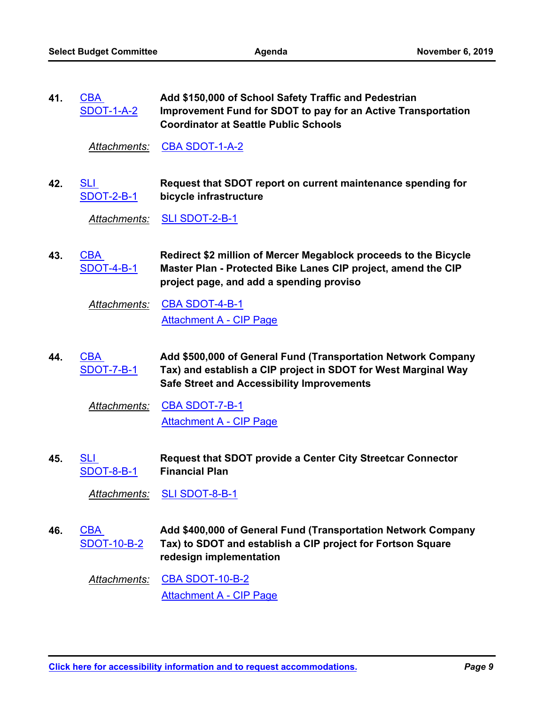| 41. | <b>CBA</b>        | Add \$150,000 of School Safety Traffic and Pedestrian         |
|-----|-------------------|---------------------------------------------------------------|
|     | <b>SDOT-1-A-2</b> | Improvement Fund for SDOT to pay for an Active Transportation |
|     |                   | <b>Coordinator at Seattle Public Schools</b>                  |

*Attachments:* [CBA SDOT-1-A-2](http://seattle.legistar.com/gateway.aspx?M=F&ID=dff9e148-6499-429a-9783-f68ff78f2d61.docx)

**Request that SDOT report on current maintenance spending for bicycle infrastructure** SLI [SDOT-2-B-1](http://seattle.legistar.com/gateway.aspx?m=l&id=/matter.aspx?key=9646) **42.**

*Attachments:* [SLI SDOT-2-B-1](http://seattle.legistar.com/gateway.aspx?M=F&ID=796375d6-4e1d-480c-9ffb-f7723083adc4.docx)

**Redirect \$2 million of Mercer Megablock proceeds to the Bicycle Master Plan - Protected Bike Lanes CIP project, amend the CIP project page, and add a spending proviso CBA** [SDOT-4-B-1](http://seattle.legistar.com/gateway.aspx?m=l&id=/matter.aspx?key=9599) **43.**

*Attachments:* [CBA SDOT-4-B-1](http://seattle.legistar.com/gateway.aspx?M=F&ID=df139566-eedb-44e2-9af2-40cfaccc42ac.docx) [Attachment A - CIP Page](http://seattle.legistar.com/gateway.aspx?M=F&ID=5ac2628c-bc0a-4aaa-94e4-59656547bd18.pdf)

**Add \$500,000 of General Fund (Transportation Network Company Tax) and establish a CIP project in SDOT for West Marginal Way Safe Street and Accessibility Improvements** CBA [SDOT-7-B-1](http://seattle.legistar.com/gateway.aspx?m=l&id=/matter.aspx?key=9600) **44.**

*Attachments:* [CBA SDOT-7-B-1](http://seattle.legistar.com/gateway.aspx?M=F&ID=e85df623-0817-42ba-b474-58a30cf2ba01.docx) [Attachment A - CIP Page](http://seattle.legistar.com/gateway.aspx?M=F&ID=71da58b4-9826-43ca-981b-0a784f077e96.pdf)

**Request that SDOT provide a Center City Streetcar Connector Financial Plan** SLI [SDOT-8-B-1](http://seattle.legistar.com/gateway.aspx?m=l&id=/matter.aspx?key=9647) **45.**

*Attachments:* [SLI SDOT-8-B-1](http://seattle.legistar.com/gateway.aspx?M=F&ID=a839a3d0-f84c-4f93-aecf-99b2b66f19bf.docx)

**Add \$400,000 of General Fund (Transportation Network Company Tax) to SDOT and establish a CIP project for Fortson Square redesign implementation** CBA [SDOT-10-B-2](http://seattle.legistar.com/gateway.aspx?m=l&id=/matter.aspx?key=9601) **46.**

*Attachments:* [CBA SDOT-10-B-2](http://seattle.legistar.com/gateway.aspx?M=F&ID=5ad7fe35-1a81-403a-8f9e-2580097cccfc.docx) [Attachment A - CIP Page](http://seattle.legistar.com/gateway.aspx?M=F&ID=b2e0afa8-4e5d-47e2-bbbb-1b908ccbba80.pdf)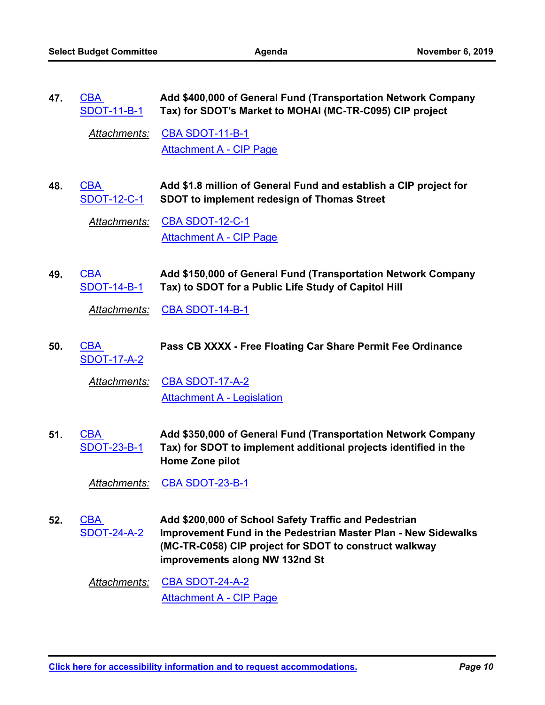| 47. | <b>CBA</b><br><b>SDOT-11-B-1</b> | Add \$400,000 of General Fund (Transportation Network Company<br>Tax) for SDOT's Market to MOHAI (MC-TR-C095) CIP project                                                                                                  |
|-----|----------------------------------|----------------------------------------------------------------------------------------------------------------------------------------------------------------------------------------------------------------------------|
|     | <b>Attachments:</b>              | <b>CBA SDOT-11-B-1</b>                                                                                                                                                                                                     |
|     |                                  | <b>Attachment A - CIP Page</b>                                                                                                                                                                                             |
| 48. | <b>CBA</b><br><b>SDOT-12-C-1</b> | Add \$1.8 million of General Fund and establish a CIP project for<br><b>SDOT to implement redesign of Thomas Street</b>                                                                                                    |
|     | <b>Attachments:</b>              | <b>CBA SDOT-12-C-1</b>                                                                                                                                                                                                     |
|     |                                  | <b>Attachment A - CIP Page</b>                                                                                                                                                                                             |
| 49. | <b>CBA</b><br><u>SDOT-14-B-1</u> | Add \$150,000 of General Fund (Transportation Network Company<br>Tax) to SDOT for a Public Life Study of Capitol Hill                                                                                                      |
|     | <u>Attachments:</u>              | <b>CBA SDOT-14-B-1</b>                                                                                                                                                                                                     |
| 50. | <b>CBA</b><br><b>SDOT-17-A-2</b> | Pass CB XXXX - Free Floating Car Share Permit Fee Ordinance                                                                                                                                                                |
|     | Attachments:                     | <b>CBA SDOT-17-A-2</b>                                                                                                                                                                                                     |
|     |                                  | <b>Attachment A - Legislation</b>                                                                                                                                                                                          |
| 51. | CBA<br><b>SDOT-23-B-1</b>        | Add \$350,000 of General Fund (Transportation Network Company<br>Tax) for SDOT to implement additional projects identified in the<br>Home Zone pilot                                                                       |
|     | Attachments:                     | CBA SDOT-23-B-1                                                                                                                                                                                                            |
| 52. | <b>CBA</b><br><b>SDOT-24-A-2</b> | Add \$200,000 of School Safety Traffic and Pedestrian<br><b>Improvement Fund in the Pedestrian Master Plan - New Sidewalks</b><br>(MC-TR-C058) CIP project for SDOT to construct walkway<br>improvements along NW 132nd St |
|     | <u> Attachments:</u>             | <b>CBA SDOT-24-A-2</b><br><b>Attachment A - CIP Page</b>                                                                                                                                                                   |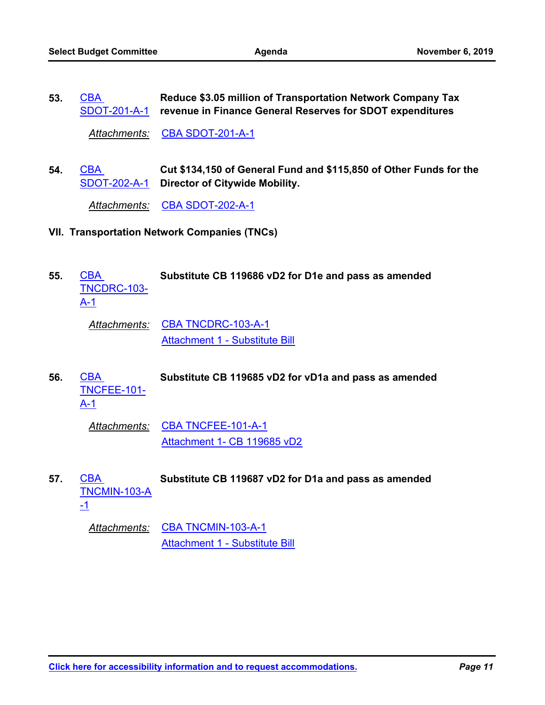**Reduce \$3.05 million of Transportation Network Company Tax**  [SDOT-201-A-1](http://seattle.legistar.com/gateway.aspx?m=l&id=/matter.aspx?key=9608) revenue in Finance General Reserves for SDOT expenditures **CBA 53.**

*Attachments:* [CBA SDOT-201-A-1](http://seattle.legistar.com/gateway.aspx?M=F&ID=9f6a5502-2abc-4742-8c14-27a8aaecbe8a.docx)

**Cut \$134,150 of General Fund and \$115,850 of Other Funds for the**  [SDOT-202-A-1](http://seattle.legistar.com/gateway.aspx?m=l&id=/matter.aspx?key=9609) Director of Citywide Mobility. CBA **54.**

*Attachments:* [CBA SDOT-202-A-1](http://seattle.legistar.com/gateway.aspx?M=F&ID=adb4523f-01c7-4243-adeb-1648db350bf4.docx)

- **VII. Transportation Network Companies (TNCs)**
- CBA **Substitute CB 119686 vD2 for D1e and pass as amended** [TNCDRC-103-](http://seattle.legistar.com/gateway.aspx?m=l&id=/matter.aspx?key=9623) A-1 **55.**

*Attachments:* [CBA TNCDRC-103-A-1](http://seattle.legistar.com/gateway.aspx?M=F&ID=ae4b4427-2496-4cf5-bf85-634e4c720b17.docx) [Attachment 1 - Substitute Bill](http://seattle.legistar.com/gateway.aspx?M=F&ID=072e75a6-b5c4-4d69-8d66-0a53407fa479.pdf)

CBA **Substitute CB 119685 vD2 for vD1a and pass as amended** [TNCFEE-101-](http://seattle.legistar.com/gateway.aspx?m=l&id=/matter.aspx?key=9399) A-1 **56.**

*Attachments:* [CBA TNCFEE-101-A-1](http://seattle.legistar.com/gateway.aspx?M=F&ID=a3b1ca4a-128e-4c89-a47c-c0708f9e01bc.docx) [Attachment 1- CB 119685 vD2](http://seattle.legistar.com/gateway.aspx?M=F&ID=2ddaf8e7-6c04-49c5-97c7-94a91cfcd0e9.pdf)

CBA **Substitute CB 119687 vD2 for D1a and pass as amended** [TNCMIN-103-A](http://seattle.legistar.com/gateway.aspx?m=l&id=/matter.aspx?key=9624) -1 **57.**

*Attachments:* [CBA TNCMIN-103-A-1](http://seattle.legistar.com/gateway.aspx?M=F&ID=7f2b068b-1415-4617-aa2f-a5380bc2d458.docx) [Attachment 1 - Substitute Bill](http://seattle.legistar.com/gateway.aspx?M=F&ID=7cc658fb-d149-4960-8e73-1bf1909858aa.pdf)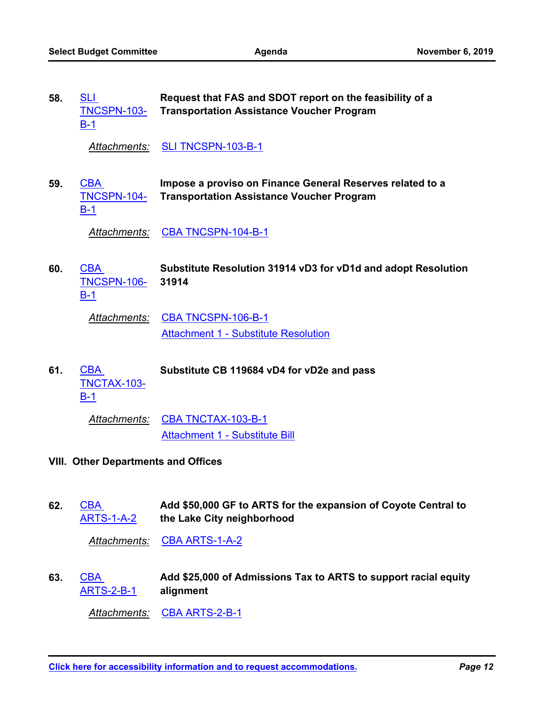| 58. | <b>SLI</b><br><b>TNCSPN-103-</b><br>$B-1$  | Request that FAS and SDOT report on the feasibility of a<br><b>Transportation Assistance Voucher Program</b>  |
|-----|--------------------------------------------|---------------------------------------------------------------------------------------------------------------|
|     | Attachments:                               | <b>SLI TNCSPN-103-B-1</b>                                                                                     |
| 59. | <b>CBA</b><br>TNCSPN-104-<br>$B-1$         | Impose a proviso on Finance General Reserves related to a<br><b>Transportation Assistance Voucher Program</b> |
|     | Attachments:                               | CBA TNCSPN-104-B-1                                                                                            |
| 60. | <b>CBA</b><br><b>TNCSPN-106-</b><br>$B-1$  | Substitute Resolution 31914 vD3 for vD1d and adopt Resolution<br>31914                                        |
|     | Attachments:                               | CBA TNCSPN-106-B-1<br><b>Attachment 1 - Substitute Resolution</b>                                             |
| 61. | <b>CBA</b><br>TNCTAX-103-<br>$B-1$         | Substitute CB 119684 vD4 for vD2e and pass                                                                    |
|     | Attachments:                               | CBA TNCTAX-103-B-1<br><b>Attachment 1 - Substitute Bill</b>                                                   |
|     | <b>VIII. Other Departments and Offices</b> |                                                                                                               |

**Add \$50,000 GF to ARTS for the expansion of Coyote Central to the Lake City neighborhood CBA** [ARTS-1-A-2](http://seattle.legistar.com/gateway.aspx?m=l&id=/matter.aspx?key=9510) **62.**

*Attachments:* [CBA ARTS-1-A-2](http://seattle.legistar.com/gateway.aspx?M=F&ID=4ea846fb-81be-49af-b619-44911a197402.docx)

**Add \$25,000 of Admissions Tax to ARTS to support racial equity alignment CBA** [ARTS-2-B-1](http://seattle.legistar.com/gateway.aspx?m=l&id=/matter.aspx?key=9511) **63.**

*Attachments:* [CBA ARTS-2-B-1](http://seattle.legistar.com/gateway.aspx?M=F&ID=e6493640-338a-4e5a-9d8d-458b62528db6.docx)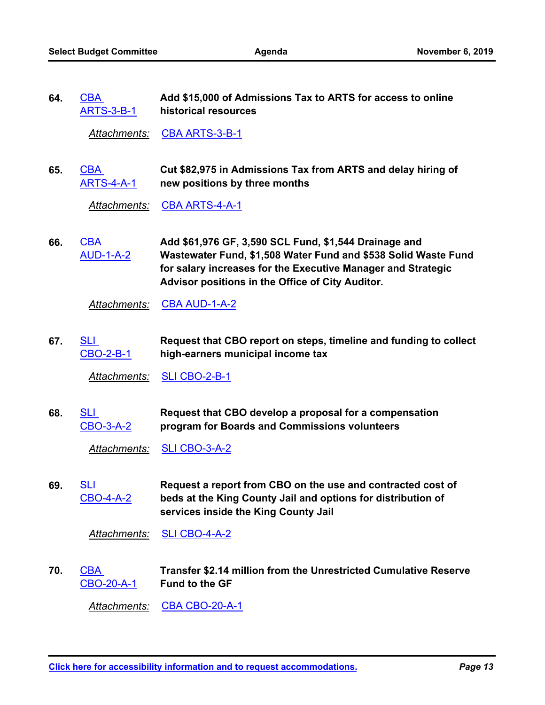**Add \$15,000 of Admissions Tax to ARTS for access to online historical resources** CBA [ARTS-3-B-1](http://seattle.legistar.com/gateway.aspx?m=l&id=/matter.aspx?key=9512) **64.**

*Attachments:* [CBA ARTS-3-B-1](http://seattle.legistar.com/gateway.aspx?M=F&ID=2e33ac1c-a622-4d0b-84a9-4c0d55c4d5b9.docx)

**Cut \$82,975 in Admissions Tax from ARTS and delay hiring of new positions by three months** CBA [ARTS-4-A-1](http://seattle.legistar.com/gateway.aspx?m=l&id=/matter.aspx?key=9513) **65.**

*Attachments:* [CBA ARTS-4-A-1](http://seattle.legistar.com/gateway.aspx?M=F&ID=4ae11949-5a48-4b73-baf3-23e5500ecad5.docx)

**Add \$61,976 GF, 3,590 SCL Fund, \$1,544 Drainage and Wastewater Fund, \$1,508 Water Fund and \$538 Solid Waste Fund for salary increases for the Executive Manager and Strategic Advisor positions in the Office of City Auditor.** CBA [AUD-1-A-2](http://seattle.legistar.com/gateway.aspx?m=l&id=/matter.aspx?key=9514) **66.**

*Attachments:* [CBA AUD-1-A-2](http://seattle.legistar.com/gateway.aspx?M=F&ID=8dd00459-3b1f-4b60-8b97-1400190fe841.docx)

**Request that CBO report on steps, timeline and funding to collect high-earners municipal income tax** SLI [CBO-2-B-1](http://seattle.legistar.com/gateway.aspx?m=l&id=/matter.aspx?key=9628) **67.**

*Attachments:* [SLI CBO-2-B-1](http://seattle.legistar.com/gateway.aspx?M=F&ID=465314e9-c516-4aee-ac30-be09122f58a1.docx)

**Request that CBO develop a proposal for a compensation program for Boards and Commissions volunteers** SLI [CBO-3-A-2](http://seattle.legistar.com/gateway.aspx?m=l&id=/matter.aspx?key=9629) **68.**

*Attachments:* [SLI CBO-3-A-2](http://seattle.legistar.com/gateway.aspx?M=F&ID=b1440a16-dd64-4db8-aaf7-42e012c0b4cb.docx)

**Request a report from CBO on the use and contracted cost of beds at the King County Jail and options for distribution of services inside the King County Jail** SLI [CBO-4-A-2](http://seattle.legistar.com/gateway.aspx?m=l&id=/matter.aspx?key=9630) **69.**

*Attachments:* [SLI CBO-4-A-2](http://seattle.legistar.com/gateway.aspx?M=F&ID=66624c7a-5a46-4a34-9e99-b555ca4102be.docx)

**Transfer \$2.14 million from the Unrestricted Cumulative Reserve Fund to the GF** CBA [CBO-20-A-1](http://seattle.legistar.com/gateway.aspx?m=l&id=/matter.aspx?key=9515) **70.**

*Attachments:* [CBA CBO-20-A-1](http://seattle.legistar.com/gateway.aspx?M=F&ID=263659f4-1937-4c74-a938-6c090dd7bf3b.docx)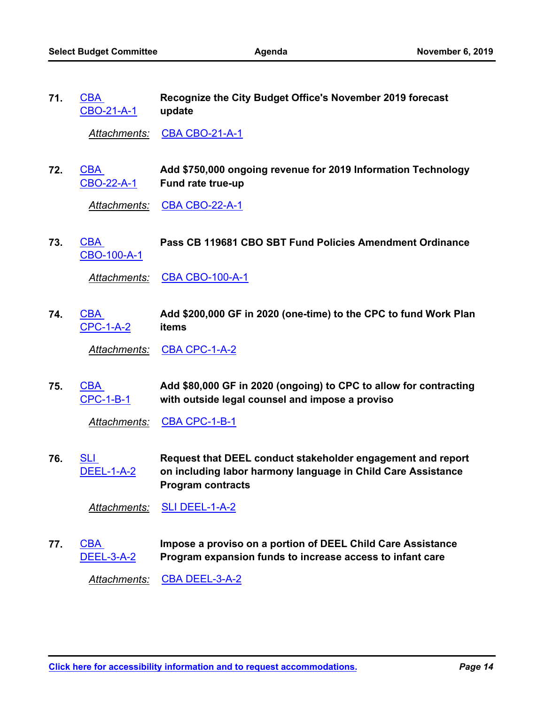**Recognize the City Budget Office's November 2019 forecast update CBA** [CBO-21-A-1](http://seattle.legistar.com/gateway.aspx?m=l&id=/matter.aspx?key=9516) **71.**

*Attachments:* [CBA CBO-21-A-1](http://seattle.legistar.com/gateway.aspx?M=F&ID=62f34927-2d01-4328-bcb5-5314aa9c664a.docx)

**Add \$750,000 ongoing revenue for 2019 Information Technology Fund rate true-up** CBA [CBO-22-A-1](http://seattle.legistar.com/gateway.aspx?m=l&id=/matter.aspx?key=9517) **72.**

*Attachments:* [CBA CBO-22-A-1](http://seattle.legistar.com/gateway.aspx?M=F&ID=f0b4778b-eda5-4625-9fd2-1fa3e427d2f5.docx)

CBA **Pass CB 119681 CBO SBT Fund Policies Amendment Ordinance** [CBO-100-A-1](http://seattle.legistar.com/gateway.aspx?m=l&id=/matter.aspx?key=9303) **73.**

*Attachments:* [CBA CBO-100-A-1](http://seattle.legistar.com/gateway.aspx?M=F&ID=c2c1a34f-76a1-4323-b2fa-8f4f14be4f06.docx)

**Add \$200,000 GF in 2020 (one-time) to the CPC to fund Work Plan items CBA** [CPC-1-A-2](http://seattle.legistar.com/gateway.aspx?m=l&id=/matter.aspx?key=9523) **74.**

Attachments: [CBA CPC-1-A-2](http://seattle.legistar.com/gateway.aspx?M=F&ID=659b1ff3-a20c-4e3f-82e8-447a6ec36a8d.docx)

**Add \$80,000 GF in 2020 (ongoing) to CPC to allow for contracting with outside legal counsel and impose a proviso** CBA [CPC-1-B-1](http://seattle.legistar.com/gateway.aspx?m=l&id=/matter.aspx?key=9524) **75.**

Attachments: [CBA CPC-1-B-1](http://seattle.legistar.com/gateway.aspx?M=F&ID=5853ec74-c5ff-4638-aad9-9e55b8ddc778.docx)

**Request that DEEL conduct stakeholder engagement and report on including labor harmony language in Child Care Assistance Program contracts** SLI [DEEL-1-A-2](http://seattle.legistar.com/gateway.aspx?m=l&id=/matter.aspx?key=9636) **76.**

*Attachments:* [SLI DEEL-1-A-2](http://seattle.legistar.com/gateway.aspx?M=F&ID=ab720b2e-a2bf-46c9-892f-6197d291792a.docx)

**Impose a proviso on a portion of DEEL Child Care Assistance Program expansion funds to increase access to infant care** CBA [DEEL-3-A-2](http://seattle.legistar.com/gateway.aspx?m=l&id=/matter.aspx?key=9525) **77.**

*Attachments:* [CBA DEEL-3-A-2](http://seattle.legistar.com/gateway.aspx?M=F&ID=11e474e1-a8d4-4e16-93cd-c93eca43f4d2.docx)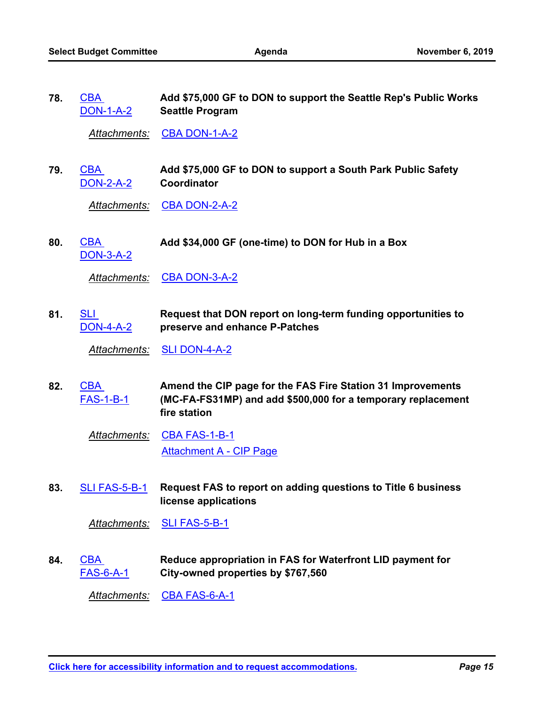**Add \$75,000 GF to DON to support the Seattle Rep's Public Works Seattle Program CBA** [DON-1-A-2](http://seattle.legistar.com/gateway.aspx?m=l&id=/matter.aspx?key=9526) **78.**

Attachments: [CBA DON-1-A-2](http://seattle.legistar.com/gateway.aspx?M=F&ID=3926e6f0-242a-48a7-9875-982145599b00.docx)

**Add \$75,000 GF to DON to support a South Park Public Safety Coordinator** CBA [DON-2-A-2](http://seattle.legistar.com/gateway.aspx?m=l&id=/matter.aspx?key=9527) **79.**

*Attachments:* [CBA DON-2-A-2](http://seattle.legistar.com/gateway.aspx?M=F&ID=1f51399f-a276-42db-b19a-e1ae9d31d5d4.docx)

CBA **Add \$34,000 GF (one-time) to DON for Hub in a Box** [DON-3-A-2](http://seattle.legistar.com/gateway.aspx?m=l&id=/matter.aspx?key=9528) **80.**

Attachments: [CBA DON-3-A-2](http://seattle.legistar.com/gateway.aspx?M=F&ID=aa428461-530b-402f-b17a-69abfac82ff2.docx)

**Request that DON report on long-term funding opportunities to preserve and enhance P-Patches** SLI [DON-4-A-2](http://seattle.legistar.com/gateway.aspx?m=l&id=/matter.aspx?key=9637) **81.**

*Attachments:* [SLI DON-4-A-2](http://seattle.legistar.com/gateway.aspx?M=F&ID=8e26ce07-6a73-4ea6-aca6-48aada54ff69.docx)

**Amend the CIP page for the FAS Fire Station 31 Improvements (MC-FA-FS31MP) and add \$500,000 for a temporary replacement fire station** CBA [FAS-1-B-1](http://seattle.legistar.com/gateway.aspx?m=l&id=/matter.aspx?key=9529) **82.**

*Attachments:* [CBA FAS-1-B-1](http://seattle.legistar.com/gateway.aspx?M=F&ID=6700ff77-2961-46bc-9c8e-95eb3019fb12.docx) [Attachment A - CIP Page](http://seattle.legistar.com/gateway.aspx?M=F&ID=73a29aa8-4220-401e-b9c9-02ba918c460c.pdf)

**Request FAS to report on adding questions to Title 6 business license applications 83.** [SLI FAS-5-B-1](http://seattle.legistar.com/gateway.aspx?m=l&id=/matter.aspx?key=9638)

*Attachments:* [SLI FAS-5-B-1](http://seattle.legistar.com/gateway.aspx?M=F&ID=8d3044ff-31d8-4ef6-9292-74bb218416e0.docx)

**Reduce appropriation in FAS for Waterfront LID payment for City-owned properties by \$767,560** CBA [FAS-6-A-1](http://seattle.legistar.com/gateway.aspx?m=l&id=/matter.aspx?key=9530) **84.**

*Attachments:* [CBA FAS-6-A-1](http://seattle.legistar.com/gateway.aspx?M=F&ID=98e13a01-cce2-4528-8b67-ef7fb0133e72.docx)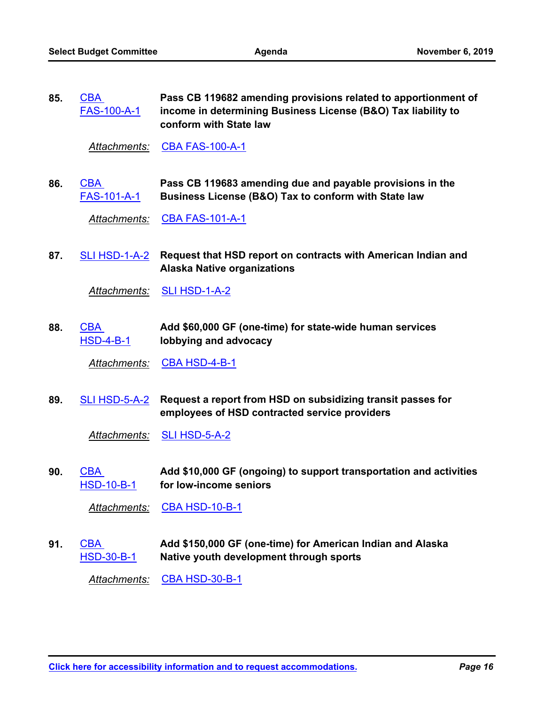| 85. | $\mathsf{CBA}^-$   | Pass CB 119682 amending provisions related to apportionment of |
|-----|--------------------|----------------------------------------------------------------|
|     | <b>FAS-100-A-1</b> | income in determining Business License (B&O) Tax liability to  |
|     |                    | conform with State law                                         |

*Attachments:* [CBA FAS-100-A-1](http://seattle.legistar.com/gateway.aspx?M=F&ID=d2f5b9fe-5312-40bb-8143-1307c50f69ae.docx)

**Pass CB 119683 amending due and payable provisions in the Business License (B&O) Tax to conform with State law** CBA [FAS-101-A-1](http://seattle.legistar.com/gateway.aspx?m=l&id=/matter.aspx?key=9532) **86.**

*Attachments:* [CBA FAS-101-A-1](http://seattle.legistar.com/gateway.aspx?M=F&ID=0982d5a3-128e-44cf-be29-a0a9b03fe3c9.docx)

87. [SLI HSD-1-A-2](http://seattle.legistar.com/gateway.aspx?m=l&id=/matter.aspx?key=9640) Request that HSD report on contracts with American Indian and **Alaska Native organizations**

*Attachments:* [SLI HSD-1-A-2](http://seattle.legistar.com/gateway.aspx?M=F&ID=a2e22224-6589-4c04-bb77-38187f81e363.docx)

**Add \$60,000 GF (one-time) for state-wide human services lobbying and advocacy** CBA [HSD-4-B-1](http://seattle.legistar.com/gateway.aspx?m=l&id=/matter.aspx?key=9553) **88.**

*Attachments:* [CBA HSD-4-B-1](http://seattle.legistar.com/gateway.aspx?M=F&ID=5ee01ee0-89eb-4ea4-9655-326dfa93060b.docx)

89. <u>[SLI HSD-5-A-2](http://seattle.legistar.com/gateway.aspx?m=l&id=/matter.aspx?key=9641)</u> Request a report from HSD on subsidizing transit passes for **employees of HSD contracted service providers**

*Attachments:* [SLI HSD-5-A-2](http://seattle.legistar.com/gateway.aspx?M=F&ID=7056210f-570f-4239-b448-52d68205b1da.docx)

**Add \$10,000 GF (ongoing) to support transportation and activities for low-income seniors** CBA [HSD-10-B-1](http://seattle.legistar.com/gateway.aspx?m=l&id=/matter.aspx?key=9554) **90.**

*Attachments:* [CBA HSD-10-B-1](http://seattle.legistar.com/gateway.aspx?M=F&ID=7d6f4896-8679-42ca-a39d-9ee1d7613dd7.docx)

**Add \$150,000 GF (one-time) for American Indian and Alaska Native youth development through sports** CBA [HSD-30-B-1](http://seattle.legistar.com/gateway.aspx?m=l&id=/matter.aspx?key=9555) **91.**

*Attachments:* [CBA HSD-30-B-1](http://seattle.legistar.com/gateway.aspx?M=F&ID=8652107a-be98-40ec-a2b2-8011277703dd.docx)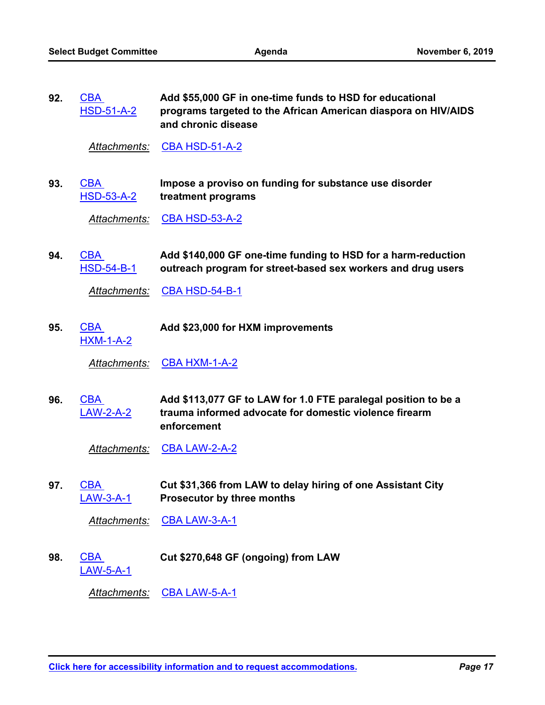**Add \$55,000 GF in one-time funds to HSD for educational programs targeted to the African American diaspora on HIV/AIDS and chronic disease CBA** [HSD-51-A-2](http://seattle.legistar.com/gateway.aspx?m=l&id=/matter.aspx?key=9557) **92.**

Attachments: [CBA HSD-51-A-2](http://seattle.legistar.com/gateway.aspx?M=F&ID=26e34617-97f1-45f5-8f27-78103135a054.docx)

**Impose a proviso on funding for substance use disorder treatment programs** CBA [HSD-53-A-2](http://seattle.legistar.com/gateway.aspx?m=l&id=/matter.aspx?key=9558) **93.**

*Attachments:* [CBA HSD-53-A-2](http://seattle.legistar.com/gateway.aspx?M=F&ID=eb68e2e7-01f1-4ed1-a934-8f3c8bf31479.docx)

**Add \$140,000 GF one-time funding to HSD for a harm-reduction outreach program for street-based sex workers and drug users** CBA [HSD-54-B-1](http://seattle.legistar.com/gateway.aspx?m=l&id=/matter.aspx?key=9559) **94.**

*Attachments:* [CBA HSD-54-B-1](http://seattle.legistar.com/gateway.aspx?M=F&ID=36b78095-477b-43a8-a98a-bf3ffb7bf80f.docx)

CBA **Add \$23,000 for HXM improvements** [HXM-1-A-2](http://seattle.legistar.com/gateway.aspx?m=l&id=/matter.aspx?key=9561) **95.**

Attachments: [CBA HXM-1-A-2](http://seattle.legistar.com/gateway.aspx?M=F&ID=545bc744-e727-491d-8202-f6f83a44e3aa.docx)

**Add \$113,077 GF to LAW for 1.0 FTE paralegal position to be a trauma informed advocate for domestic violence firearm enforcement** CBA [LAW-2-A-2](http://seattle.legistar.com/gateway.aspx?m=l&id=/matter.aspx?key=9562) **96.**

Attachments: [CBA LAW-2-A-2](http://seattle.legistar.com/gateway.aspx?M=F&ID=ebcd3a25-6c85-483f-8fe6-27ec9da10b14.docx)

**Cut \$31,366 from LAW to delay hiring of one Assistant City Prosecutor by three months** CBA [LAW-3-A-1](http://seattle.legistar.com/gateway.aspx?m=l&id=/matter.aspx?key=9563) **97.**

*Attachments:* [CBA LAW-3-A-1](http://seattle.legistar.com/gateway.aspx?M=F&ID=ff256fe2-4c85-4abf-af97-2026b730bafd.docx)

CBA **Cut \$270,648 GF (ongoing) from LAW** [LAW-5-A-1](http://seattle.legistar.com/gateway.aspx?m=l&id=/matter.aspx?key=9564) **98.**

*Attachments:* [CBA LAW-5-A-1](http://seattle.legistar.com/gateway.aspx?M=F&ID=7379484b-c1e2-40c0-932b-861e9c0f7b8d.docx)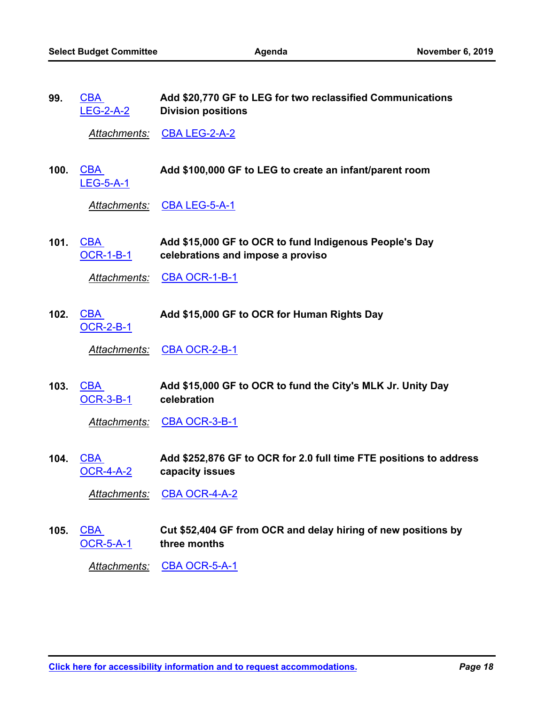CBA

**99.**

**Add \$20,770 GF to LEG for two reclassified Communications** 

|      | <b>LEG-2-A-2</b>               | <b>Division positions</b>                                                                   |
|------|--------------------------------|---------------------------------------------------------------------------------------------|
|      | Attachments:                   | <b>CBA LEG-2-A-2</b>                                                                        |
| 100. | <b>CBA</b><br><b>LEG-5-A-1</b> | Add \$100,000 GF to LEG to create an infant/parent room                                     |
|      | <u>Attachments:</u>            | <b>CBA LEG-5-A-1</b>                                                                        |
| 101. | CBA<br><b>OCR-1-B-1</b>        | Add \$15,000 GF to OCR to fund Indigenous People's Day<br>celebrations and impose a proviso |
|      | <u>Attachments:</u>            | CBA OCR-1-B-1                                                                               |
| 102. | <b>CBA</b><br><b>OCR-2-B-1</b> | Add \$15,000 GF to OCR for Human Rights Day                                                 |
|      | Attachments:                   | CBA OCR-2-B-1                                                                               |
| 103. | <b>CBA</b><br><b>OCR-3-B-1</b> | Add \$15,000 GF to OCR to fund the City's MLK Jr. Unity Day<br>celebration                  |
|      | Attachments:                   | <b>CBA OCR-3-B-1</b>                                                                        |
| 104. | <b>CBA</b><br><u>OCR-4-A-2</u> | Add \$252,876 GF to OCR for 2.0 full time FTE positions to address<br>capacity issues       |
|      | <u> Attachments:</u>           | <b>CBA OCR-4-A-2</b>                                                                        |
| 105. | <b>CBA</b><br><b>OCR-5-A-1</b> | Cut \$52,404 GF from OCR and delay hiring of new positions by<br>three months               |
|      | <b>Attachments:</b>            | <b>CBA OCR-5-A-1</b>                                                                        |
|      |                                |                                                                                             |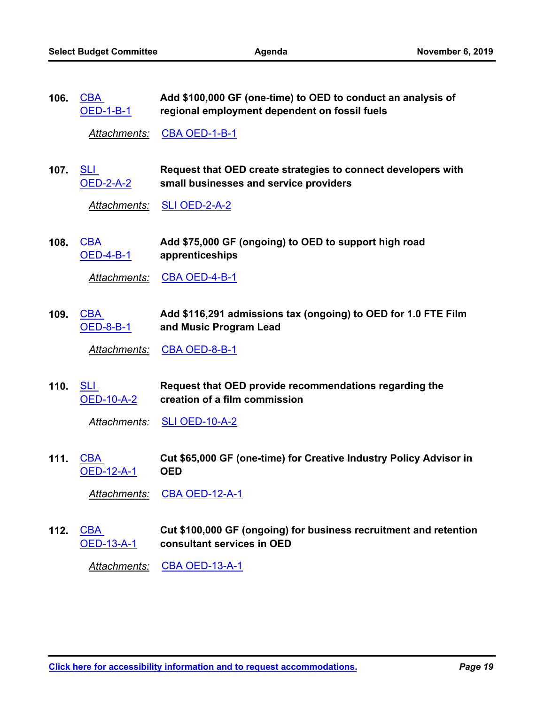**Add \$100,000 GF (one-time) to OED to conduct an analysis of regional employment dependent on fossil fuels CBA** [OED-1-B-1](http://seattle.legistar.com/gateway.aspx?m=l&id=/matter.aspx?key=9572) **106.**

Attachments: [CBA OED-1-B-1](http://seattle.legistar.com/gateway.aspx?M=F&ID=0f952cea-86f9-4c8e-ae1b-ad9aa63a1506.docx)

**Request that OED create strategies to connect developers with small businesses and service providers** 107. <u>SLI</u> [OED-2-A-2](http://seattle.legistar.com/gateway.aspx?m=l&id=/matter.aspx?key=9642)

*Attachments:* [SLI OED-2-A-2](http://seattle.legistar.com/gateway.aspx?M=F&ID=030a6559-580e-4b27-bacb-5432cb07973a.docx)

**Add \$75,000 GF (ongoing) to OED to support high road apprenticeships** CBA [OED-4-B-1](http://seattle.legistar.com/gateway.aspx?m=l&id=/matter.aspx?key=9650) **108.**

Attachments: [CBA OED-4-B-1](http://seattle.legistar.com/gateway.aspx?M=F&ID=a30b78e4-bcd9-4c84-946c-c1eb27eaf843.docx)

**Add \$116,291 admissions tax (ongoing) to OED for 1.0 FTE Film and Music Program Lead** 109. CBA [OED-8-B-1](http://seattle.legistar.com/gateway.aspx?m=l&id=/matter.aspx?key=9651)

Attachments: [CBA OED-8-B-1](http://seattle.legistar.com/gateway.aspx?M=F&ID=74da22ce-4bed-46b2-aae4-6dff7f575c7e.docx)

**Request that OED provide recommendations regarding the creation of a film commission** 110. <u>SLI</u> [OED-10-A-2](http://seattle.legistar.com/gateway.aspx?m=l&id=/matter.aspx?key=9643)

*Attachments:* [SLI OED-10-A-2](http://seattle.legistar.com/gateway.aspx?M=F&ID=c2b9196d-e0c4-409e-94b1-db704a4bf173.docx)

**Cut \$65,000 GF (one-time) for Creative Industry Policy Advisor in OED** CBA [OED-12-A-1](http://seattle.legistar.com/gateway.aspx?m=l&id=/matter.aspx?key=9573) **111.**

*Attachments:* [CBA OED-12-A-1](http://seattle.legistar.com/gateway.aspx?M=F&ID=ff44b69a-37bd-41bb-9d06-a8fc6c4c6765.docx)

**Cut \$100,000 GF (ongoing) for business recruitment and retention consultant services in OED CBA** [OED-13-A-1](http://seattle.legistar.com/gateway.aspx?m=l&id=/matter.aspx?key=9574) **112.**

*Attachments:* [CBA OED-13-A-1](http://seattle.legistar.com/gateway.aspx?M=F&ID=0bceb466-7325-4356-8bae-9ee1259426e3.docx)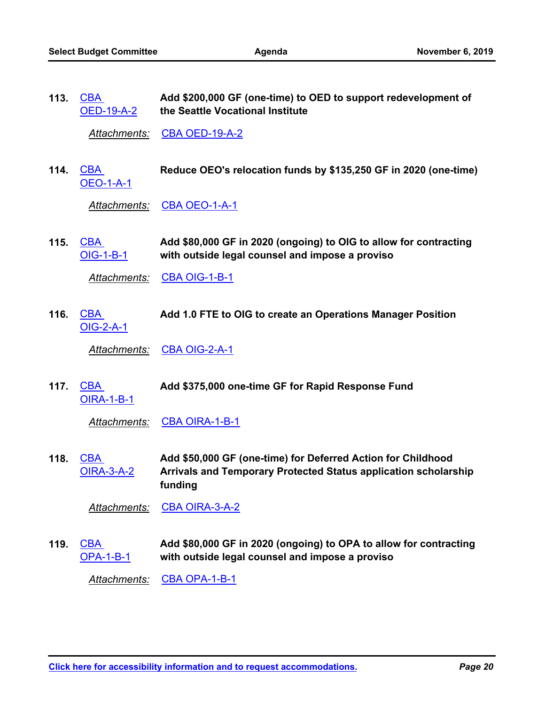**Add \$200,000 GF (one-time) to OED to support redevelopment of the Seattle Vocational Institute** CBA [OED-19-A-2](http://seattle.legistar.com/gateway.aspx?m=l&id=/matter.aspx?key=9575) **113.**

Attachments: [CBA OED-19-A-2](http://seattle.legistar.com/gateway.aspx?M=F&ID=7e1c6db5-b93b-46f3-b589-5dc414ef57c7.docx)

CBA **Reduce OEO's relocation funds by \$135,250 GF in 2020 (one-time)** [OEO-1-A-1](http://seattle.legistar.com/gateway.aspx?m=l&id=/matter.aspx?key=9576) **114.**

*Attachments:* [CBA OEO-1-A-1](http://seattle.legistar.com/gateway.aspx?M=F&ID=df775447-d790-4094-b0b0-4b54bc8d3aaf.docx)

**Add \$80,000 GF in 2020 (ongoing) to OIG to allow for contracting with outside legal counsel and impose a proviso** CBA [OIG-1-B-1](http://seattle.legistar.com/gateway.aspx?m=l&id=/matter.aspx?key=9583) **115.**

*Attachments:* [CBA OIG-1-B-1](http://seattle.legistar.com/gateway.aspx?M=F&ID=f0fa1e55-5a82-4689-b6ee-1449456f6be8.docx)

Add 1.0 FTE to OIG to create an Operations Manager Position [OIG-2-A-1](http://seattle.legistar.com/gateway.aspx?m=l&id=/matter.aspx?key=9325) **116.**

*Attachments:* [CBA OIG-2-A-1](http://seattle.legistar.com/gateway.aspx?M=F&ID=0840c3e7-587a-4406-8d6f-85ca2f5fbf3b.docx)

Add \$375,000 one-time GF for Rapid Response Fund [OIRA-1-B-1](http://seattle.legistar.com/gateway.aspx?m=l&id=/matter.aspx?key=9584) **117.**

*Attachments:* [CBA OIRA-1-B-1](http://seattle.legistar.com/gateway.aspx?M=F&ID=e6c767da-be83-4111-82f8-6686348f4c51.docx)

**Add \$50,000 GF (one-time) for Deferred Action for Childhood Arrivals and Temporary Protected Status application scholarship funding CBA** [OIRA-3-A-2](http://seattle.legistar.com/gateway.aspx?m=l&id=/matter.aspx?key=9585) **118.**

*Attachments:* [CBA OIRA-3-A-2](http://seattle.legistar.com/gateway.aspx?M=F&ID=962516bc-03fa-405a-8a54-5831a828486a.docx)

**Add \$80,000 GF in 2020 (ongoing) to OPA to allow for contracting with outside legal counsel and impose a proviso** CBA [OPA-1-B-1](http://seattle.legistar.com/gateway.aspx?m=l&id=/matter.aspx?key=9586) **119.**

*Attachments:* [CBA OPA-1-B-1](http://seattle.legistar.com/gateway.aspx?M=F&ID=7db1d5e8-0d8b-43ff-89c8-f4755fd1c373.docx)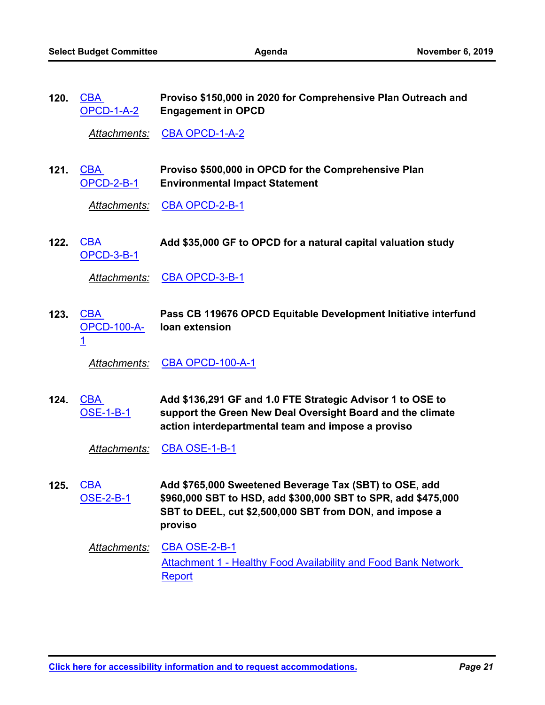**Proviso \$150,000 in 2020 for Comprehensive Plan Outreach and Engagement in OPCD** CBA [OPCD-1-A-2](http://seattle.legistar.com/gateway.aspx?m=l&id=/matter.aspx?key=9587) **120.**

*Attachments:* [CBA OPCD-1-A-2](http://seattle.legistar.com/gateway.aspx?M=F&ID=d911a72b-d4ae-46c8-8612-7c5c5f61a337.docx)

**Proviso \$500,000 in OPCD for the Comprehensive Plan Environmental Impact Statement** CBA **121.** [OPCD-2-B-1](http://seattle.legistar.com/gateway.aspx?m=l&id=/matter.aspx?key=9588)

*Attachments:* [CBA OPCD-2-B-1](http://seattle.legistar.com/gateway.aspx?M=F&ID=efb9674b-804b-41a7-ba67-879fe5a260d8.docx)

CBA **Add \$35,000 GF to OPCD for a natural capital valuation study** [OPCD-3-B-1](http://seattle.legistar.com/gateway.aspx?m=l&id=/matter.aspx?key=9589) **122.**

Attachments: [CBA OPCD-3-B-1](http://seattle.legistar.com/gateway.aspx?M=F&ID=f8b56384-c4d4-412e-ba0f-4a7325295106.docx)

**Pass CB 119676 OPCD Equitable Development Initiative interfund loan extension** 123. CBA [OPCD-100-A-](http://seattle.legistar.com/gateway.aspx?m=l&id=/matter.aspx?key=9335)1

*Attachments:* [CBA OPCD-100-A-1](http://seattle.legistar.com/gateway.aspx?M=F&ID=22a6f81b-4ffb-4f97-84ec-36966f6ab997.docx)

**Add \$136,291 GF and 1.0 FTE Strategic Advisor 1 to OSE to support the Green New Deal Oversight Board and the climate action interdepartmental team and impose a proviso CBA** [OSE-1-B-1](http://seattle.legistar.com/gateway.aspx?m=l&id=/matter.aspx?key=9590) **124.**

Attachments: [CBA OSE-1-B-1](http://seattle.legistar.com/gateway.aspx?M=F&ID=33cf9efa-4371-42a4-8341-a30ecfb28d90.docx)

**Add \$765,000 Sweetened Beverage Tax (SBT) to OSE, add \$960,000 SBT to HSD, add \$300,000 SBT to SPR, add \$475,000 SBT to DEEL, cut \$2,500,000 SBT from DON, and impose a proviso** CBA [OSE-2-B-1](http://seattle.legistar.com/gateway.aspx?m=l&id=/matter.aspx?key=9591) **125.**

*Attachments:* [CBA OSE-2-B-1](http://seattle.legistar.com/gateway.aspx?M=F&ID=c50010c3-6df5-4c5d-8c08-489b5c8e09dd.docx) [Attachment 1 - Healthy Food Availability and Food Bank Network](http://seattle.legistar.com/gateway.aspx?M=F&ID=915f2609-dccf-43e8-9859-fb817c02d1f6.pdf)  Report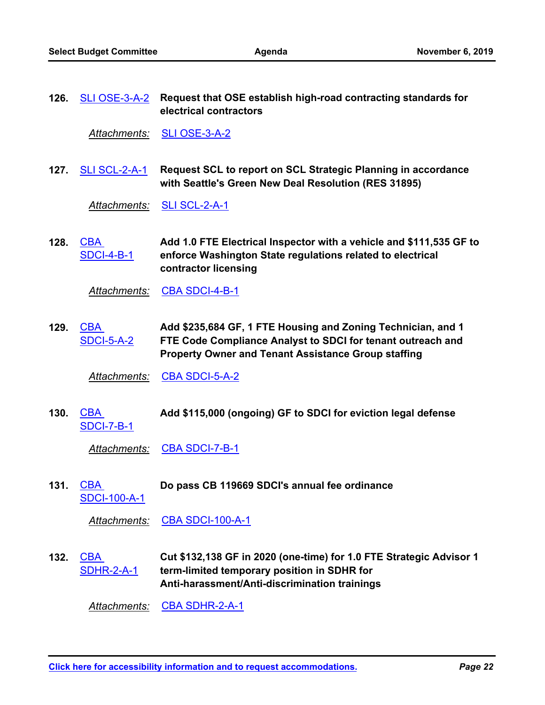**Request that OSE establish high-road contracting standards for electrical contractors 126.** [SLI OSE-3-A-2](http://seattle.legistar.com/gateway.aspx?m=l&id=/matter.aspx?key=9644)

*Attachments:* [SLI OSE-3-A-2](http://seattle.legistar.com/gateway.aspx?M=F&ID=be25ae98-01b1-4fbd-9c08-ffa55c4ad193.docx)

**Request SCL to report on SCL Strategic Planning in accordance with Seattle's Green New Deal Resolution (RES 31895) 127.** [SLI SCL-2-A-1](http://seattle.legistar.com/gateway.aspx?m=l&id=/matter.aspx?key=9645)

*Attachments:* [SLI SCL-2-A-1](http://seattle.legistar.com/gateway.aspx?M=F&ID=31c29f2b-e223-43f2-ba1f-b8565a9ca2c0.docx)

**Add 1.0 FTE Electrical Inspector with a vehicle and \$111,535 GF to enforce Washington State regulations related to electrical contractor licensing** CBA [SDCI-4-B-1](http://seattle.legistar.com/gateway.aspx?m=l&id=/matter.aspx?key=9592) **128.**

*Attachments:* [CBA SDCI-4-B-1](http://seattle.legistar.com/gateway.aspx?M=F&ID=8f4d6c1e-81ff-4d5b-8435-c5fc1606a77a.docx)

**Add \$235,684 GF, 1 FTE Housing and Zoning Technician, and 1 FTE Code Compliance Analyst to SDCI for tenant outreach and Property Owner and Tenant Assistance Group staffing** CBA [SDCI-5-A-2](http://seattle.legistar.com/gateway.aspx?m=l&id=/matter.aspx?key=9593) **129.**

*Attachments:* [CBA SDCI-5-A-2](http://seattle.legistar.com/gateway.aspx?M=F&ID=03e6de58-b10c-4703-9f44-dd8ec226b3a1.docx)

CBA **Add \$115,000 (ongoing) GF to SDCI for eviction legal defense** [SDCI-7-B-1](http://seattle.legistar.com/gateway.aspx?m=l&id=/matter.aspx?key=9594) **130.**

*Attachments:* [CBA SDCI-7-B-1](http://seattle.legistar.com/gateway.aspx?M=F&ID=d37bb206-a192-42e0-a6cc-a429b8e404d2.docx)

Do pass CB 119669 SDCI's annual fee ordinance [SDCI-100-A-1](http://seattle.legistar.com/gateway.aspx?m=l&id=/matter.aspx?key=9346) **131.**

*Attachments:* [CBA SDCI-100-A-1](http://seattle.legistar.com/gateway.aspx?M=F&ID=5b1664f5-ceee-4126-a7fb-8f66e1b0a26e.docx)

**Cut \$132,138 GF in 2020 (one-time) for 1.0 FTE Strategic Advisor 1 term-limited temporary position in SDHR for Anti-harassment/Anti-discrimination trainings CBA** [SDHR-2-A-1](http://seattle.legistar.com/gateway.aspx?m=l&id=/matter.aspx?key=9595) **132.**

*Attachments:* [CBA SDHR-2-A-1](http://seattle.legistar.com/gateway.aspx?M=F&ID=d0d0f93a-f183-4fd8-a578-c1a638148eca.docx)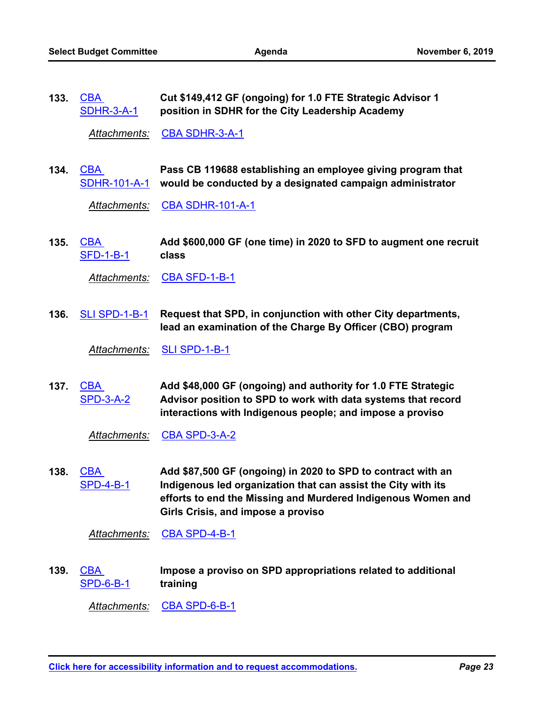**Cut \$149,412 GF (ongoing) for 1.0 FTE Strategic Advisor 1 position in SDHR for the City Leadership Academy** CBA [SDHR-3-A-1](http://seattle.legistar.com/gateway.aspx?m=l&id=/matter.aspx?key=9596) **133.**

*Attachments:* [CBA SDHR-3-A-1](http://seattle.legistar.com/gateway.aspx?M=F&ID=4c3d5ab3-8be0-45c9-96e8-c083f63c53e7.docx)

**Pass CB 119688 establishing an employee giving program that**  [SDHR-101-A-1](http://seattle.legistar.com/gateway.aspx?m=l&id=/matter.aspx?key=9597) would be conducted by a designated campaign administrator CBA **134.**

*Attachments:* [CBA SDHR-101-A-1](http://seattle.legistar.com/gateway.aspx?M=F&ID=4b20c1af-b59e-4d18-8908-8f285e0ef0c1.docx)

**Add \$600,000 GF (one time) in 2020 to SFD to augment one recruit class** CBA [SFD-1-B-1](http://seattle.legistar.com/gateway.aspx?m=l&id=/matter.aspx?key=9610) **135.**

*Attachments:* [CBA SFD-1-B-1](http://seattle.legistar.com/gateway.aspx?M=F&ID=9744a625-34ad-4bb1-a652-8846e4944fbd.docx)

**Request that SPD, in conjunction with other City departments, lead an examination of the Charge By Officer (CBO) program 136.** [SLI SPD-1-B-1](http://seattle.legistar.com/gateway.aspx?m=l&id=/matter.aspx?key=9648)

*Attachments:* [SLI SPD-1-B-1](http://seattle.legistar.com/gateway.aspx?M=F&ID=3a240140-6798-4180-b469-b610a79e2a09.docx)

**Add \$48,000 GF (ongoing) and authority for 1.0 FTE Strategic Advisor position to SPD to work with data systems that record interactions with Indigenous people; and impose a proviso** CBA [SPD-3-A-2](http://seattle.legistar.com/gateway.aspx?m=l&id=/matter.aspx?key=9611) **137.**

*Attachments:* [CBA SPD-3-A-2](http://seattle.legistar.com/gateway.aspx?M=F&ID=afc3fd05-f000-48f2-b00e-135f082eb3ca.docx)

**Add \$87,500 GF (ongoing) in 2020 to SPD to contract with an Indigenous led organization that can assist the City with its efforts to end the Missing and Murdered Indigenous Women and Girls Crisis, and impose a proviso** CBA [SPD-4-B-1](http://seattle.legistar.com/gateway.aspx?m=l&id=/matter.aspx?key=9612) **138.**

*Attachments:* [CBA SPD-4-B-1](http://seattle.legistar.com/gateway.aspx?M=F&ID=78484299-cca2-4845-a319-ca0236ace12a.docx)

**Impose a proviso on SPD appropriations related to additional training** CBA [SPD-6-B-1](http://seattle.legistar.com/gateway.aspx?m=l&id=/matter.aspx?key=9613) **139.**

*Attachments:* [CBA SPD-6-B-1](http://seattle.legistar.com/gateway.aspx?M=F&ID=4500fe18-8f8a-4e03-968f-64554cff861f.docx)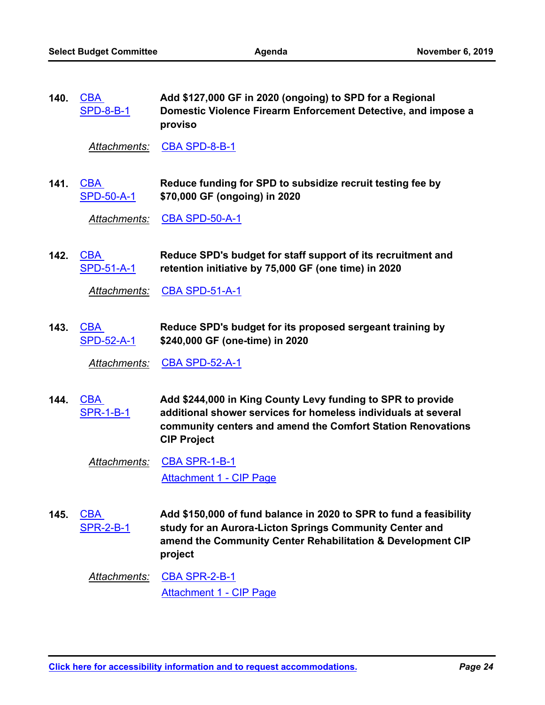**Add \$127,000 GF in 2020 (ongoing) to SPD for a Regional Domestic Violence Firearm Enforcement Detective, and impose a proviso** CBA [SPD-8-B-1](http://seattle.legistar.com/gateway.aspx?m=l&id=/matter.aspx?key=9614) **140.**

*Attachments:* [CBA SPD-8-B-1](http://seattle.legistar.com/gateway.aspx?M=F&ID=14a83f71-5290-41b2-8736-adfa5754e249.docx)

**Reduce funding for SPD to subsidize recruit testing fee by \$70,000 GF (ongoing) in 2020** 141. <u>CBA</u> [SPD-50-A-1](http://seattle.legistar.com/gateway.aspx?m=l&id=/matter.aspx?key=9615)

*Attachments:* [CBA SPD-50-A-1](http://seattle.legistar.com/gateway.aspx?M=F&ID=57d89376-ec8e-426c-9df8-bd60d9298d11.docx)

**Reduce SPD's budget for staff support of its recruitment and retention initiative by 75,000 GF (one time) in 2020** CBA **142.** [SPD-51-A-1](http://seattle.legistar.com/gateway.aspx?m=l&id=/matter.aspx?key=9616)

*Attachments:* [CBA SPD-51-A-1](http://seattle.legistar.com/gateway.aspx?M=F&ID=aff425a9-5cd0-4252-acd5-2efa5bfa2992.docx)

**Reduce SPD's budget for its proposed sergeant training by \$240,000 GF (one-time) in 2020** 143. <u>CBA</u> [SPD-52-A-1](http://seattle.legistar.com/gateway.aspx?m=l&id=/matter.aspx?key=9617)

*Attachments:* [CBA SPD-52-A-1](http://seattle.legistar.com/gateway.aspx?M=F&ID=8c28b5a6-f6ec-4e7b-af25-a54a77a70d5c.docx)

**Add \$244,000 in King County Levy funding to SPR to provide additional shower services for homeless individuals at several community centers and amend the Comfort Station Renovations CIP Project** CBA [SPR-1-B-1](http://seattle.legistar.com/gateway.aspx?m=l&id=/matter.aspx?key=9618) **144.**

*Attachments:* [CBA SPR-1-B-1](http://seattle.legistar.com/gateway.aspx?M=F&ID=bfec1ed2-40cb-4cec-9077-ac48f561ad65.docx) [Attachment 1 - CIP Page](http://seattle.legistar.com/gateway.aspx?M=F&ID=04e2f723-fe09-49f1-b330-eccaa55b00f0.pdf)

**Add \$150,000 of fund balance in 2020 to SPR to fund a feasibility study for an Aurora-Licton Springs Community Center and amend the Community Center Rehabilitation & Development CIP project** CBA [SPR-2-B-1](http://seattle.legistar.com/gateway.aspx?m=l&id=/matter.aspx?key=9619) **145.**

*Attachments:* [CBA SPR-2-B-1](http://seattle.legistar.com/gateway.aspx?M=F&ID=20ce64a6-9d0f-4a3d-999a-f399be101364.docx) [Attachment 1 - CIP Page](http://seattle.legistar.com/gateway.aspx?M=F&ID=9d0e3db7-12f9-4be0-9177-f4ffa0f84b8b.pdf)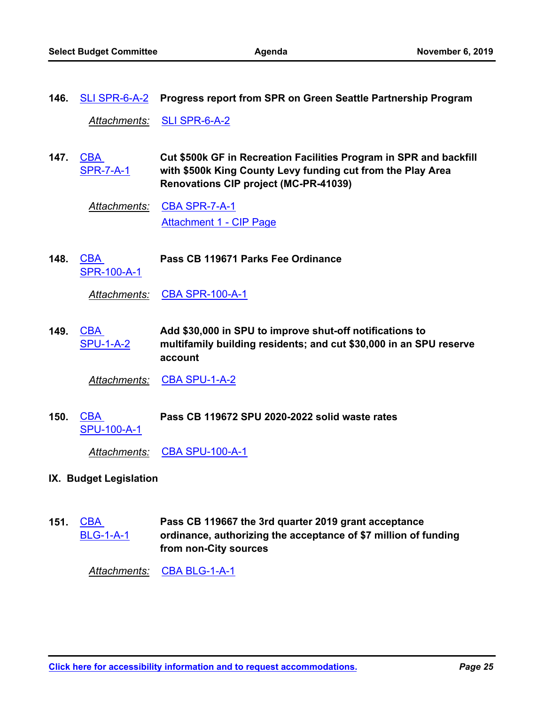**146.** [SLI SPR-6-A-2](http://seattle.legistar.com/gateway.aspx?m=l&id=/matter.aspx?key=9649) **Progress report from SPR on Green Seattle Partnership Program**

*Attachments:* [SLI SPR-6-A-2](http://seattle.legistar.com/gateway.aspx?M=F&ID=0a03f8aa-1631-427a-a441-b74039cd6f29.docx)

**Cut \$500k GF in Recreation Facilities Program in SPR and backfill with \$500k King County Levy funding cut from the Play Area Renovations CIP project (MC-PR-41039) CBA** [SPR-7-A-1](http://seattle.legistar.com/gateway.aspx?m=l&id=/matter.aspx?key=9620) **147.**

*Attachments:* [CBA SPR-7-A-1](http://seattle.legistar.com/gateway.aspx?M=F&ID=c7881766-cda0-4912-b27f-51f864493b6c.docx) [Attachment 1 - CIP Page](http://seattle.legistar.com/gateway.aspx?M=F&ID=7d12337a-d18e-4a0f-b74b-b3acf476ddc6.pdf)

**Pass CB 119671 Parks Fee Ordinance** [SPR-100-A-1](http://seattle.legistar.com/gateway.aspx?m=l&id=/matter.aspx?key=9621) **148.**

*Attachments:* [CBA SPR-100-A-1](http://seattle.legistar.com/gateway.aspx?M=F&ID=8dd2c9fc-c687-4ad7-af6c-43e2ba80c36b.docx)

**Add \$30,000 in SPU to improve shut-off notifications to multifamily building residents; and cut \$30,000 in an SPU reserve account** CBA [SPU-1-A-2](http://seattle.legistar.com/gateway.aspx?m=l&id=/matter.aspx?key=9622) **149.**

*Attachments:* [CBA SPU-1-A-2](http://seattle.legistar.com/gateway.aspx?M=F&ID=15f8088f-e189-47d1-92b8-8735da2b9637.docx)

CBA **Pass CB 119672 SPU 2020-2022 solid waste rates** [SPU-100-A-1](http://seattle.legistar.com/gateway.aspx?m=l&id=/matter.aspx?key=9349) **150.**

*Attachments:* [CBA SPU-100-A-1](http://seattle.legistar.com/gateway.aspx?M=F&ID=81f2a326-c796-4eff-9b4b-a747421ff806.docx)

#### **IX. Budget Legislation**

**Pass CB 119667 the 3rd quarter 2019 grant acceptance ordinance, authorizing the acceptance of \$7 million of funding from non-City sources CBA** [BLG-1-A-1](http://seattle.legistar.com/gateway.aspx?m=l&id=/matter.aspx?key=9301) **151.**

*Attachments:* [CBA BLG-1-A-1](http://seattle.legistar.com/gateway.aspx?M=F&ID=6613d304-e38d-4b6d-9346-e22834f65e5d.docx)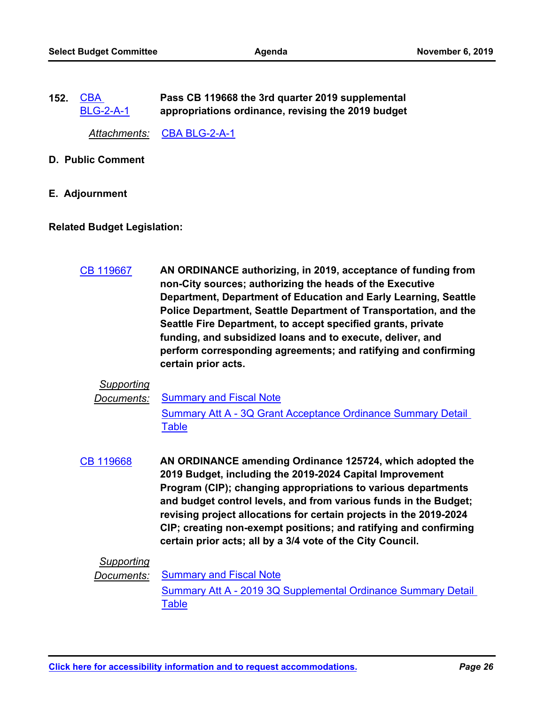**Pass CB 119668 the 3rd quarter 2019 supplemental appropriations ordinance, revising the 2019 budget** CBA [BLG-2-A-1](http://seattle.legistar.com/gateway.aspx?m=l&id=/matter.aspx?key=9302) **152.**

*Attachments:* [CBA BLG-2-A-1](http://seattle.legistar.com/gateway.aspx?M=F&ID=7c353486-deb7-413e-a8ac-f0f8a9b391e4.docx)

- **D. Public Comment**
- **E. Adjournment**

#### **Related Budget Legislation:**

**AN ORDINANCE authorizing, in 2019, acceptance of funding from non-City sources; authorizing the heads of the Executive Department, Department of Education and Early Learning, Seattle Police Department, Seattle Department of Transportation, and the Seattle Fire Department, to accept specified grants, private funding, and subsidized loans and to execute, deliver, and perform corresponding agreements; and ratifying and confirming certain prior acts.** [CB 119667](http://seattle.legistar.com/gateway.aspx?m=l&id=/matter.aspx?key=9175)

### *Supporting*

#### *Documents:* [Summary and Fiscal Note](http://seattle.legistar.com/gateway.aspx?M=F&ID=d219fe10-56f0-4196-b175-5cf454a25418.docx)

[Summary Att A - 3Q Grant Acceptance Ordinance Summary Detail](http://seattle.legistar.com/gateway.aspx?M=F&ID=ad1a4ac7-0074-4394-bdfe-e83c35ebb7df.docx)  Table

**AN ORDINANCE amending Ordinance 125724, which adopted the 2019 Budget, including the 2019-2024 Capital Improvement Program (CIP); changing appropriations to various departments and budget control levels, and from various funds in the Budget; revising project allocations for certain projects in the 2019-2024 CIP; creating non-exempt positions; and ratifying and confirming certain prior acts; all by a 3/4 vote of the City Council.** [CB 119668](http://seattle.legistar.com/gateway.aspx?m=l&id=/matter.aspx?key=9174)

### *Supporting*

*Documents:* [Summary and Fiscal Note](http://seattle.legistar.com/gateway.aspx?M=F&ID=c4a915c0-d01e-40a6-90f3-9015aafacde0.docx)

[Summary Att A - 2019 3Q Supplemental Ordinance Summary Detail](http://seattle.legistar.com/gateway.aspx?M=F&ID=ade8b2e4-9820-44ca-b9f3-67f929e11056.docx)  Table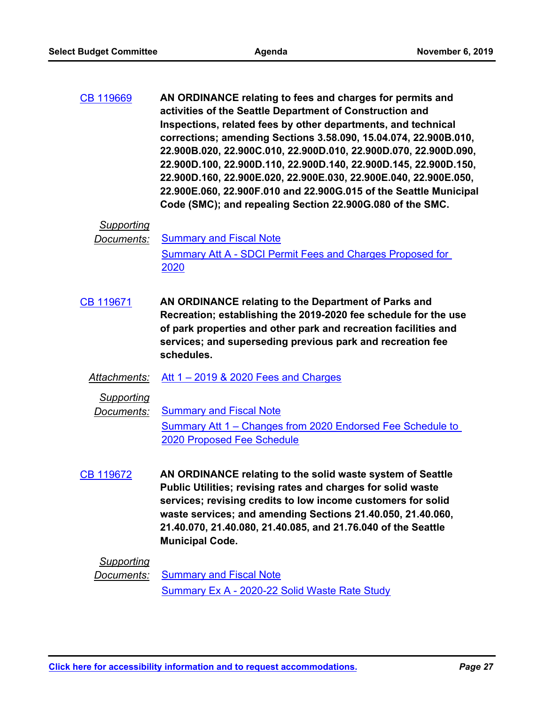**AN ORDINANCE relating to fees and charges for permits and activities of the Seattle Department of Construction and Inspections, related fees by other departments, and technical corrections; amending Sections 3.58.090, 15.04.074, 22.900B.010, 22.900B.020, 22.900C.010, 22.900D.010, 22.900D.070, 22.900D.090, 22.900D.100, 22.900D.110, 22.900D.140, 22.900D.145, 22.900D.150, 22.900D.160, 22.900E.020, 22.900E.030, 22.900E.040, 22.900E.050, 22.900E.060, 22.900F.010 and 22.900G.015 of the Seattle Municipal Code (SMC); and repealing Section 22.900G.080 of the SMC.** [CB 119669](http://seattle.legistar.com/gateway.aspx?m=l&id=/matter.aspx?key=9103)

#### *Supporting*

- **Documents:** [Summary and Fiscal Note](http://seattle.legistar.com/gateway.aspx?M=F&ID=6dd9f478-e583-4bd4-8bae-ee0fb1901cd0.docx) [Summary Att A - SDCI Permit Fees and Charges Proposed for](http://seattle.legistar.com/gateway.aspx?M=F&ID=b0a1bf43-5e01-4db3-9943-5d1a547d9d34.docx)  2020
- **AN ORDINANCE relating to the Department of Parks and Recreation; establishing the 2019-2020 fee schedule for the use of park properties and other park and recreation facilities and services; and superseding previous park and recreation fee schedules.** [CB 119671](http://seattle.legistar.com/gateway.aspx?m=l&id=/matter.aspx?key=9141)
	- *Attachments:* [Att 1 2019 & 2020 Fees and Charges](http://seattle.legistar.com/gateway.aspx?M=F&ID=9918b497-595b-4ec0-9b7c-0c4ec9712a52.docx)

*Supporting*

**Documents:** [Summary and Fiscal Note](http://seattle.legistar.com/gateway.aspx?M=F&ID=bb696812-c6a8-4781-bb2e-eee55c951d3d.docx) [Summary Att 1 – Changes from 2020 Endorsed Fee Schedule to](http://seattle.legistar.com/gateway.aspx?M=F&ID=d3f3b4e4-13fa-40f4-bd77-c1248503d945.docx)  2020 Proposed Fee Schedule

**AN ORDINANCE relating to the solid waste system of Seattle Public Utilities; revising rates and charges for solid waste services; revising credits to low income customers for solid waste services; and amending Sections 21.40.050, 21.40.060, 21.40.070, 21.40.080, 21.40.085, and 21.76.040 of the Seattle Municipal Code.** [CB 119672](http://seattle.legistar.com/gateway.aspx?m=l&id=/matter.aspx?key=8829)

### *Supporting*

*Documents:* [Summary and Fiscal Note](http://seattle.legistar.com/gateway.aspx?M=F&ID=65962fb8-0570-4ef7-a461-c48705012ad8.docx) [Summary Ex A - 2020-22 Solid Waste Rate Study](http://seattle.legistar.com/gateway.aspx?M=F&ID=a413f58c-de59-4c54-b2d0-c800e662ec42.docx)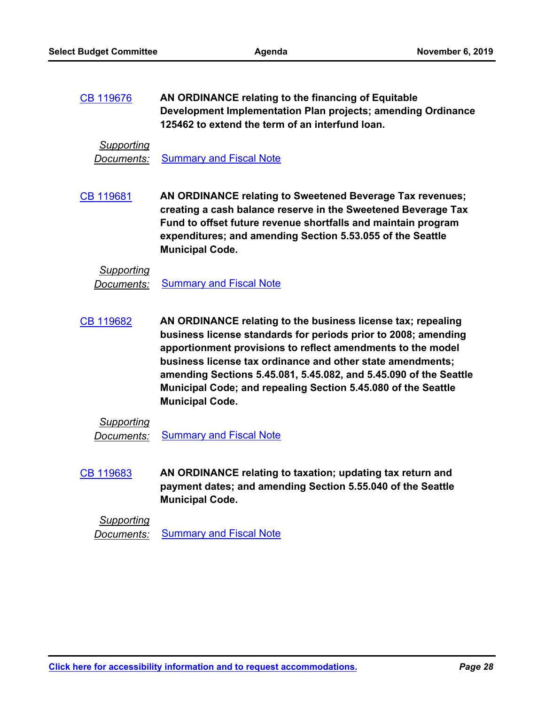**AN ORDINANCE relating to the financing of Equitable Development Implementation Plan projects; amending Ordinance 125462 to extend the term of an interfund loan.** [CB 119676](http://seattle.legistar.com/gateway.aspx?m=l&id=/matter.aspx?key=9114)

*Supporting*

**Documents:** [Summary and Fiscal Note](http://seattle.legistar.com/gateway.aspx?M=F&ID=2ee35d6f-caff-4209-83a8-364820061611.docx)

**AN ORDINANCE relating to Sweetened Beverage Tax revenues; creating a cash balance reserve in the Sweetened Beverage Tax Fund to offset future revenue shortfalls and maintain program expenditures; and amending Section 5.53.055 of the Seattle Municipal Code.** [CB 119681](http://seattle.legistar.com/gateway.aspx?m=l&id=/matter.aspx?key=9100)

#### *Supporting*

*Documents:* [Summary and Fiscal Note](http://seattle.legistar.com/gateway.aspx?M=F&ID=f1ca0cd3-8a0b-419d-b92c-c1aeec5bbf90.docx)

**AN ORDINANCE relating to the business license tax; repealing business license standards for periods prior to 2008; amending apportionment provisions to reflect amendments to the model business license tax ordinance and other state amendments; amending Sections 5.45.081, 5.45.082, and 5.45.090 of the Seattle Municipal Code; and repealing Section 5.45.080 of the Seattle Municipal Code.** [CB 119682](http://seattle.legistar.com/gateway.aspx?m=l&id=/matter.aspx?key=9177)

### *Supporting*

**Documents:** [Summary and Fiscal Note](http://seattle.legistar.com/gateway.aspx?M=F&ID=6727dfa5-2a12-4fb7-ba53-a54ddda10893.docx)

**AN ORDINANCE relating to taxation; updating tax return and payment dates; and amending Section 5.55.040 of the Seattle Municipal Code.** [CB 119683](http://seattle.legistar.com/gateway.aspx?m=l&id=/matter.aspx?key=9178)

*Supporting* **Documents:** [Summary and Fiscal Note](http://seattle.legistar.com/gateway.aspx?M=F&ID=6e2e1f91-3960-48fc-ad15-b9b3f19140f3.docx)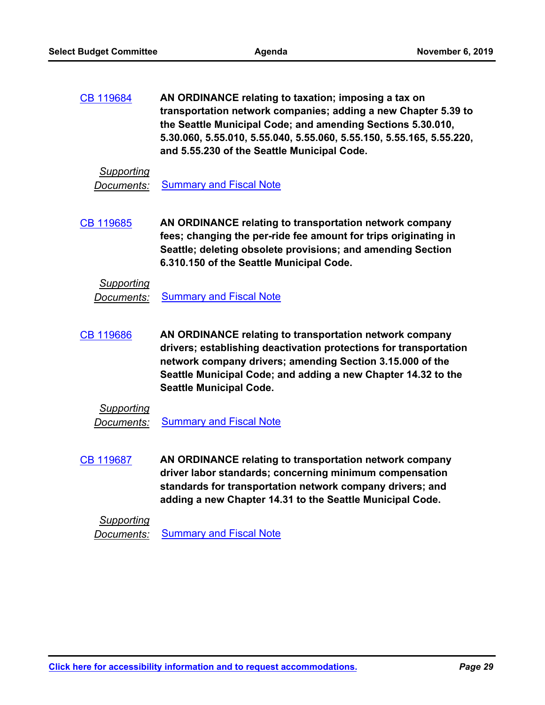**AN ORDINANCE relating to taxation; imposing a tax on transportation network companies; adding a new Chapter 5.39 to the Seattle Municipal Code; and amending Sections 5.30.010, 5.30.060, 5.55.010, 5.55.040, 5.55.060, 5.55.150, 5.55.165, 5.55.220, and 5.55.230 of the Seattle Municipal Code.** [CB 119684](http://seattle.legistar.com/gateway.aspx?m=l&id=/matter.aspx?key=9183)

#### *Supporting*

**Documents:** [Summary and Fiscal Note](http://seattle.legistar.com/gateway.aspx?M=F&ID=34a154d6-a524-43b1-9c11-69364fd65ca5.docx)

**AN ORDINANCE relating to transportation network company fees; changing the per-ride fee amount for trips originating in Seattle; deleting obsolete provisions; and amending Section 6.310.150 of the Seattle Municipal Code.** [CB 119685](http://seattle.legistar.com/gateway.aspx?m=l&id=/matter.aspx?key=9194)

#### *Supporting*

**Documents:** [Summary and Fiscal Note](http://seattle.legistar.com/gateway.aspx?M=F&ID=afb9c4a2-4c8a-4a83-977e-f8122196c4c5.docx)

**AN ORDINANCE relating to transportation network company drivers; establishing deactivation protections for transportation network company drivers; amending Section 3.15.000 of the Seattle Municipal Code; and adding a new Chapter 14.32 to the Seattle Municipal Code.** [CB 119686](http://seattle.legistar.com/gateway.aspx?m=l&id=/matter.aspx?key=9189)

### *Supporting*

**Documents:** [Summary and Fiscal Note](http://seattle.legistar.com/gateway.aspx?M=F&ID=657bda30-1ba5-4294-8f82-61218155852c.docx)

**AN ORDINANCE relating to transportation network company driver labor standards; concerning minimum compensation standards for transportation network company drivers; and adding a new Chapter 14.31 to the Seattle Municipal Code.** [CB 119687](http://seattle.legistar.com/gateway.aspx?m=l&id=/matter.aspx?key=9188)

*Supporting*

**Documents:** [Summary and Fiscal Note](http://seattle.legistar.com/gateway.aspx?M=F&ID=98617789-0ded-4e9d-852e-30ac59656cea.docx)